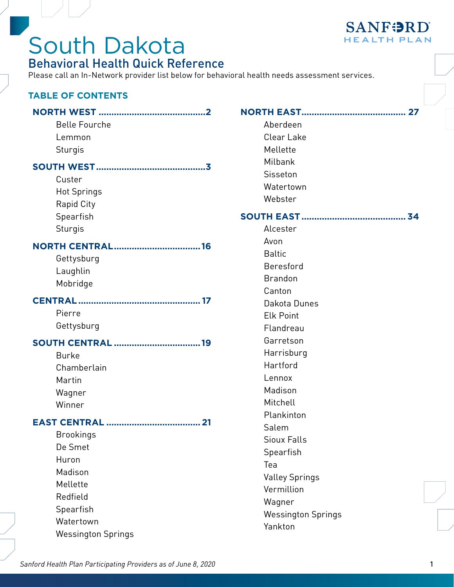

### South Dakota Behavioral Health Quick Reference

Please call an In-Network provider list below for behavioral health needs assessment services.

#### **TABLE OF CONTENTS**

| <b>Belle Fourche</b><br>Lemmon<br>Sturgis                                                                                      | N            |
|--------------------------------------------------------------------------------------------------------------------------------|--------------|
| Custer<br><b>Hot Springs</b><br><b>Rapid City</b><br>Spearfish<br>Sturgis                                                      | $\mathbf{S}$ |
| <b>NORTH CENTRAL16</b><br>Gettysburg<br>Laughlin<br>Mobridge                                                                   |              |
| Pierre<br>Gettysburg                                                                                                           |              |
| <b>SOUTH CENTRAL 19</b><br><b>Burke</b><br>Chamberlain<br>Martin<br>Wagner<br>Winner                                           |              |
| <b>Brookings</b><br>De Smet<br>Huron<br>Madison<br>Mellette<br>Redfield<br>Spearfish<br>Watertown<br><b>Wessington Springs</b> |              |

|--|

Aberdeen Clear Lake Mellette Milbank **Sisseton** Watertown

Webster

#### **[SOUTH EAST.........................................](#page-33-0) 34**

Alcester Avon Baltic Beresford Brandon Canton Dakota Dunes Elk Point Flandreau Garretson Harrisburg Hartford Lennox Madison Mitchell Plankinton Salem Sioux Falls Spearfish Tea Valley Springs Vermillion Wagner Wessington Springs Yankton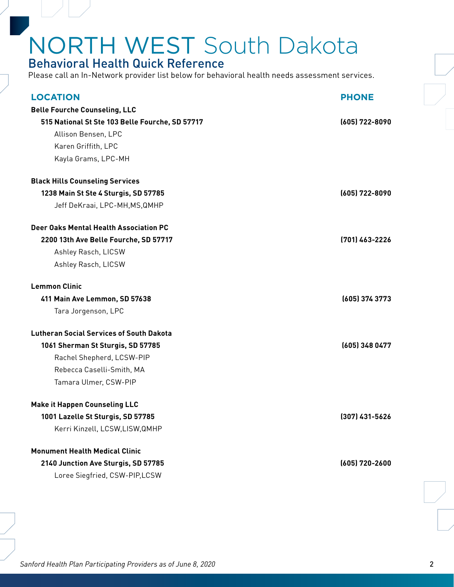### <span id="page-1-0"></span>Behavioral Health Quick Reference

| <b>LOCATION</b>                                 | <b>PHONE</b>     |
|-------------------------------------------------|------------------|
| <b>Belle Fourche Counseling, LLC</b>            |                  |
| 515 National St Ste 103 Belle Fourche, SD 57717 | (605) 722-8090   |
| Allison Bensen, LPC                             |                  |
| Karen Griffith, LPC                             |                  |
| Kayla Grams, LPC-MH                             |                  |
| <b>Black Hills Counseling Services</b>          |                  |
| 1238 Main St Ste 4 Sturgis, SD 57785            | (605) 722-8090   |
| Jeff DeKraai, LPC-MH, MS, QMHP                  |                  |
| Deer Oaks Mental Health Association PC          |                  |
| 2200 13th Ave Belle Fourche, SD 57717           | (701) 463-2226   |
| Ashley Rasch, LICSW                             |                  |
| Ashley Rasch, LICSW                             |                  |
| <b>Lemmon Clinic</b>                            |                  |
| 411 Main Ave Lemmon, SD 57638                   | (605) 374 3773   |
| Tara Jorgenson, LPC                             |                  |
| <b>Lutheran Social Services of South Dakota</b> |                  |
| 1061 Sherman St Sturgis, SD 57785               | (605) 348 0477   |
| Rachel Shepherd, LCSW-PIP                       |                  |
| Rebecca Caselli-Smith, MA                       |                  |
| Tamara Ulmer, CSW-PIP                           |                  |
| <b>Make it Happen Counseling LLC</b>            |                  |
| 1001 Lazelle St Sturgis, SD 57785               | $(307)$ 431-5626 |
| Kerri Kinzell, LCSW,LISW,QMHP                   |                  |
| <b>Monument Health Medical Clinic</b>           |                  |
| 2140 Junction Ave Sturgis, SD 57785             | (605) 720-2600   |
| Loree Siegfried, CSW-PIP,LCSW                   |                  |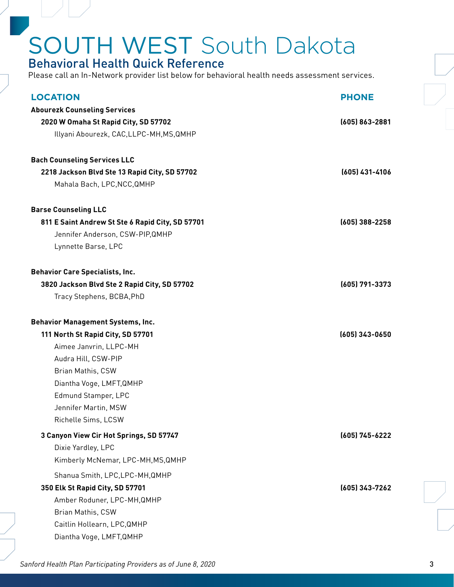### <span id="page-2-0"></span>Behavioral Health Quick Reference

Please call an In-Network provider list below for behavioral health needs assessment services.

| <b>LOCATION</b>                                  | <b>PHONE</b>     |
|--------------------------------------------------|------------------|
| <b>Abourezk Counseling Services</b>              |                  |
| 2020 W Omaha St Rapid City, SD 57702             | (605) 863-2881   |
| Illyani Abourezk, CAC, LLPC-MH, MS, QMHP         |                  |
|                                                  |                  |
| <b>Bach Counseling Services LLC</b>              |                  |
| 2218 Jackson Blvd Ste 13 Rapid City, SD 57702    | (605) 431-4106   |
| Mahala Bach, LPC, NCC, QMHP                      |                  |
| <b>Barse Counseling LLC</b>                      |                  |
| 811 E Saint Andrew St Ste 6 Rapid City, SD 57701 | $(605)$ 388-2258 |
| Jennifer Anderson, CSW-PIP, QMHP                 |                  |
| Lynnette Barse, LPC                              |                  |
| <b>Behavior Care Specialists, Inc.</b>           |                  |
| 3820 Jackson Blvd Ste 2 Rapid City, SD 57702     | (605) 791-3373   |
| Tracy Stephens, BCBA, PhD                        |                  |
|                                                  |                  |
| <b>Behavior Management Systems, Inc.</b>         |                  |
| 111 North St Rapid City, SD 57701                | $(605)$ 343-0650 |
| Aimee Janvrin, LLPC-MH                           |                  |
| Audra Hill, CSW-PIP                              |                  |
| Brian Mathis, CSW                                |                  |
| Diantha Voge, LMFT, QMHP                         |                  |
| Edmund Stamper, LPC                              |                  |
| Jennifer Martin, MSW                             |                  |
| Richelle Sims, LCSW                              |                  |
| 3 Canyon View Cir Hot Springs, SD 57747          | (605) 745-6222   |
| Dixie Yardley, LPC                               |                  |
| Kimberly McNemar, LPC-MH, MS, QMHP               |                  |
| Shanua Smith, LPC, LPC-MH, QMHP                  |                  |
| 350 Elk St Rapid City, SD 57701                  | (605) 343-7262   |
| Amber Roduner, LPC-MH, QMHP                      |                  |
| Brian Mathis, CSW                                |                  |
| Caitlin Hollearn, LPC, QMHP                      |                  |
| Diantha Voge, LMFT, QMHP                         |                  |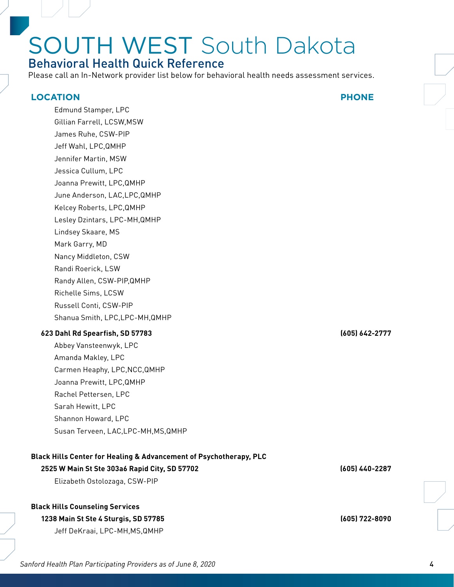### Behavioral Health Quick Reference

Please call an In-Network provider list below for behavioral health needs assessment services.

#### **LOCATION PHONE**

Edmund Stamper, LPC Gillian Farrell, LCSW,MSW James Ruhe, CSW-PIP Jeff Wahl, LPC,QMHP Jennifer Martin, MSW Jessica Cullum, LPC Joanna Prewitt, LPC,QMHP June Anderson, LAC,LPC,QMHP Kelcey Roberts, LPC,QMHP Lesley Dzintars, LPC-MH,QMHP Lindsey Skaare, MS Mark Garry, MD Nancy Middleton, CSW Randi Roerick, LSW Randy Allen, CSW-PIP,QMHP Richelle Sims, LCSW Russell Conti, CSW-PIP Shanua Smith, LPC,LPC-MH,QMHP

#### **623 Dahl Rd Spearfish, SD 57783 (605) 642-2777**

Abbey Vansteenwyk, LPC Amanda Makley, LPC Carmen Heaphy, LPC,NCC,QMHP Joanna Prewitt, LPC,QMHP Rachel Pettersen, LPC Sarah Hewitt, LPC Shannon Howard, LPC Susan Terveen, LAC,LPC-MH,MS,QMHP

#### **Black Hills Center for Healing & Advancement of Psychotherapy, PLC**

#### **2525 W Main St Ste 303a6 Rapid City, SD 57702 (605) 440-2287**

Elizabeth Ostolozaga, CSW-PIP

#### **Black Hills Counseling Services**

#### **1238 Main St Ste 4 Sturgis, SD 57785 (605) 722-8090**

Jeff DeKraai, LPC-MH,MS,QMHP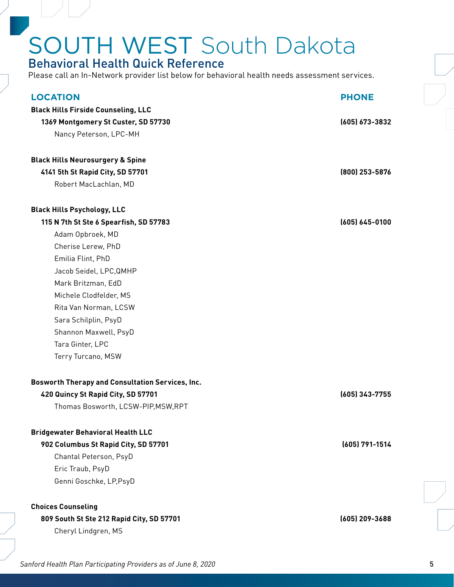### Behavioral Health Quick Reference

Please call an In-Network provider list below for behavioral health needs assessment services.

| <b>LOCATION</b>                                         | <b>PHONE</b>       |
|---------------------------------------------------------|--------------------|
| <b>Black Hills Firside Counseling, LLC</b>              |                    |
| 1369 Montgomery St Custer, SD 57730                     | (605) 673-3832     |
| Nancy Peterson, LPC-MH                                  |                    |
|                                                         |                    |
| <b>Black Hills Neurosurgery &amp; Spine</b>             |                    |
| 4141 5th St Rapid City, SD 57701                        | (800) 253-5876     |
| Robert MacLachlan, MD                                   |                    |
| <b>Black Hills Psychology, LLC</b>                      |                    |
| 115 N 7th St Ste 6 Spearfish, SD 57783                  | $(605) 645 - 0100$ |
| Adam Opbroek, MD                                        |                    |
| Cherise Lerew, PhD                                      |                    |
| Emilia Flint, PhD                                       |                    |
| Jacob Seidel, LPC, QMHP                                 |                    |
| Mark Britzman, EdD                                      |                    |
| Michele Clodfelder, MS                                  |                    |
| Rita Van Norman, LCSW                                   |                    |
| Sara Schilplin, PsyD                                    |                    |
| Shannon Maxwell, PsyD                                   |                    |
| Tara Ginter, LPC                                        |                    |
| Terry Turcano, MSW                                      |                    |
| <b>Bosworth Therapy and Consultation Services, Inc.</b> |                    |
| 420 Quincy St Rapid City, SD 57701                      | (605) 343-7755     |
| Thomas Bosworth, LCSW-PIP, MSW, RPT                     |                    |
| <b>Bridgewater Behavioral Health LLC</b>                |                    |
| 902 Columbus St Rapid City, SD 57701                    | (605) 791-1514     |
| Chantal Peterson, PsyD                                  |                    |
| Eric Traub, PsyD                                        |                    |
| Genni Goschke, LP, PsyD                                 |                    |
|                                                         |                    |
| <b>Choices Counseling</b>                               |                    |
| 809 South St Ste 212 Rapid City, SD 57701               | (605) 209-3688     |
| Cheryl Lindgren, MS                                     |                    |
|                                                         |                    |
|                                                         |                    |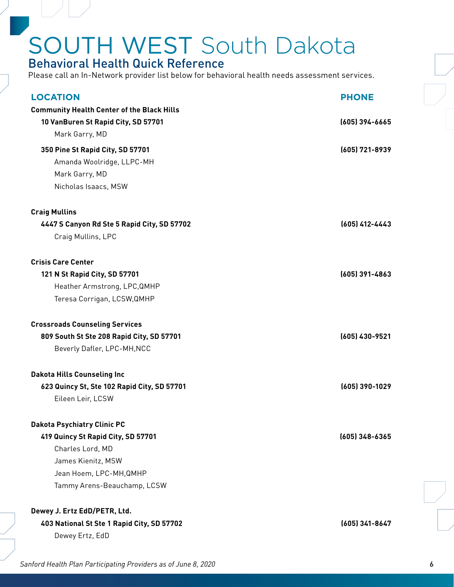### Behavioral Health Quick Reference

| <b>LOCATION</b>                                   | <b>PHONE</b>     |
|---------------------------------------------------|------------------|
| <b>Community Health Center of the Black Hills</b> |                  |
| 10 VanBuren St Rapid City, SD 57701               | (605) 394-6665   |
| Mark Garry, MD                                    |                  |
| 350 Pine St Rapid City, SD 57701                  | (605) 721-8939   |
| Amanda Woolridge, LLPC-MH                         |                  |
| Mark Garry, MD                                    |                  |
| Nicholas Isaacs, MSW                              |                  |
| <b>Craig Mullins</b>                              |                  |
| 4447 S Canyon Rd Ste 5 Rapid City, SD 57702       | (605) 412-4443   |
| Craig Mullins, LPC                                |                  |
| <b>Crisis Care Center</b>                         |                  |
| 121 N St Rapid City, SD 57701                     | $(605)$ 391-4863 |
| Heather Armstrong, LPC, QMHP                      |                  |
| Teresa Corrigan, LCSW, QMHP                       |                  |
| <b>Crossroads Counseling Services</b>             |                  |
| 809 South St Ste 208 Rapid City, SD 57701         | (605) 430-9521   |
| Beverly Dafler, LPC-MH, NCC                       |                  |
| <b>Dakota Hills Counseling Inc</b>                |                  |
| 623 Quincy St, Ste 102 Rapid City, SD 57701       | (605) 390-1029   |
| Eileen Leir, LCSW                                 |                  |
| <b>Dakota Psychiatry Clinic PC</b>                |                  |
| 419 Quincy St Rapid City, SD 57701                | $(605)$ 348-6365 |
| Charles Lord, MD                                  |                  |
| James Kienitz, MSW                                |                  |
| Jean Hoem, LPC-MH, QMHP                           |                  |
| Tammy Arens-Beauchamp, LCSW                       |                  |
| Dewey J. Ertz EdD/PETR, Ltd.                      |                  |
| 403 National St Ste 1 Rapid City, SD 57702        | (605) 341-8647   |
| Dewey Ertz, EdD                                   |                  |
|                                                   |                  |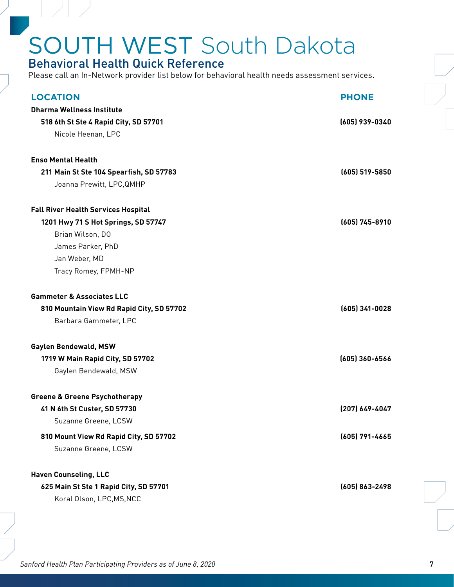### Behavioral Health Quick Reference

| <b>LOCATION</b>                                      | <b>PHONE</b>     |
|------------------------------------------------------|------------------|
| <b>Dharma Wellness Institute</b>                     |                  |
| 518 6th St Ste 4 Rapid City, SD 57701                | (605) 939-0340   |
| Nicole Heenan, LPC                                   |                  |
|                                                      |                  |
| <b>Enso Mental Health</b>                            |                  |
| 211 Main St Ste 104 Spearfish, SD 57783              | (605) 519-5850   |
| Joanna Prewitt, LPC, QMHP                            |                  |
| <b>Fall River Health Services Hospital</b>           |                  |
| 1201 Hwy 71 S Hot Springs, SD 57747                  | (605) 745-8910   |
| Brian Wilson, DO                                     |                  |
| James Parker, PhD                                    |                  |
| Jan Weber, MD                                        |                  |
| Tracy Romey, FPMH-NP                                 |                  |
|                                                      |                  |
| <b>Gammeter &amp; Associates LLC</b>                 |                  |
| 810 Mountain View Rd Rapid City, SD 57702            | $(605)$ 341-0028 |
| Barbara Gammeter, LPC                                |                  |
| Gaylen Bendewald, MSW                                |                  |
| 1719 W Main Rapid City, SD 57702                     | (605) 360-6566   |
| Gaylen Bendewald, MSW                                |                  |
|                                                      |                  |
| <b>Greene &amp; Greene Psychotherapy</b>             |                  |
| 41 N 6th St Custer, SD 57730<br>Suzanne Greene, LCSW | (207) 649-4047   |
| 810 Mount View Rd Rapid City, SD 57702               | (605) 791-4665   |
| Suzanne Greene, LCSW                                 |                  |
| <b>Haven Counseling, LLC</b>                         |                  |
| 625 Main St Ste 1 Rapid City, SD 57701               | (605) 863-2498   |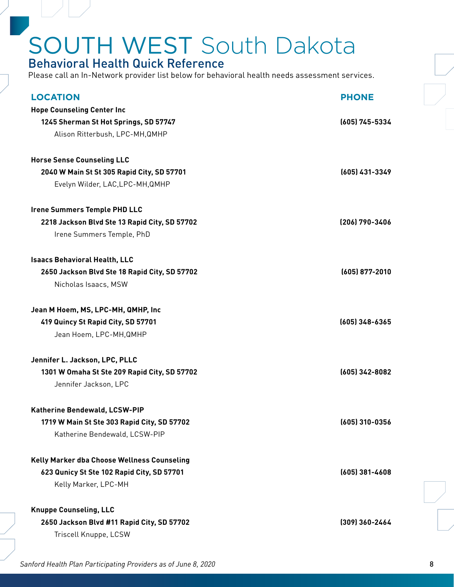### Behavioral Health Quick Reference

| <b>LOCATION</b>                               | <b>PHONE</b>     |
|-----------------------------------------------|------------------|
| <b>Hope Counseling Center Inc</b>             |                  |
| 1245 Sherman St Hot Springs, SD 57747         | (605) 745-5334   |
| Alison Ritterbush, LPC-MH, QMHP               |                  |
| <b>Horse Sense Counseling LLC</b>             |                  |
| 2040 W Main St St 305 Rapid City, SD 57701    | (605) 431-3349   |
| Evelyn Wilder, LAC, LPC-MH, QMHP              |                  |
| <b>Irene Summers Temple PHD LLC</b>           |                  |
| 2218 Jackson Blvd Ste 13 Rapid City, SD 57702 | (206) 790-3406   |
| Irene Summers Temple, PhD                     |                  |
| <b>Isaacs Behavioral Health, LLC</b>          |                  |
| 2650 Jackson Blvd Ste 18 Rapid City, SD 57702 | $(605)$ 877-2010 |
| Nicholas Isaacs, MSW                          |                  |
| Jean M Hoem, MS, LPC-MH, QMHP, Inc            |                  |
| 419 Quincy St Rapid City, SD 57701            | (605) 348-6365   |
| Jean Hoem, LPC-MH, QMHP                       |                  |
| Jennifer L. Jackson, LPC, PLLC                |                  |
| 1301 W Omaha St Ste 209 Rapid City, SD 57702  | (605) 342-8082   |
| Jennifer Jackson, LPC                         |                  |
| Katherine Bendewald, LCSW-PIP                 |                  |
| 1719 W Main St Ste 303 Rapid City, SD 57702   | (605) 310-0356   |
| Katherine Bendewald, LCSW-PIP                 |                  |
| Kelly Marker dba Choose Wellness Counseling   |                  |
| 623 Qunicy St Ste 102 Rapid City, SD 57701    | $(605)$ 381-4608 |
| Kelly Marker, LPC-MH                          |                  |
| <b>Knuppe Counseling, LLC</b>                 |                  |
| 2650 Jackson Blvd #11 Rapid City, SD 57702    | (309) 360-2464   |
| Triscell Knuppe, LCSW                         |                  |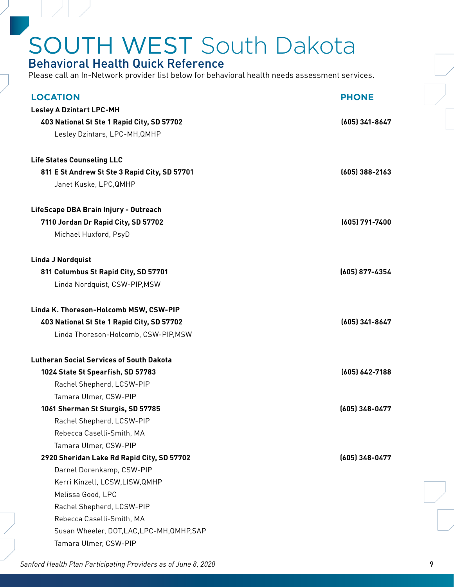### Behavioral Health Quick Reference

Please call an In-Network provider list below for behavioral health needs assessment services.

| <b>LOCATION</b>                                 | <b>PHONE</b>     |
|-------------------------------------------------|------------------|
| <b>Lesley A Dzintart LPC-MH</b>                 |                  |
| 403 National St Ste 1 Rapid City, SD 57702      | (605) 341-8647   |
| Lesley Dzintars, LPC-MH, QMHP                   |                  |
|                                                 |                  |
| <b>Life States Counseling LLC</b>               |                  |
| 811 E St Andrew St Ste 3 Rapid City, SD 57701   | $(605)$ 388-2163 |
| Janet Kuske, LPC, QMHP                          |                  |
| LifeScape DBA Brain Injury - Outreach           |                  |
| 7110 Jordan Dr Rapid City, SD 57702             | (605) 791-7400   |
| Michael Huxford, PsyD                           |                  |
|                                                 |                  |
| <b>Linda J Nordquist</b>                        |                  |
| 811 Columbus St Rapid City, SD 57701            | (605) 877-4354   |
| Linda Nordquist, CSW-PIP, MSW                   |                  |
|                                                 |                  |
| Linda K. Thoreson-Holcomb MSW, CSW-PIP          |                  |
| 403 National St Ste 1 Rapid City, SD 57702      | (605) 341-8647   |
| Linda Thoreson-Holcomb, CSW-PIP, MSW            |                  |
| <b>Lutheran Social Services of South Dakota</b> |                  |
| 1024 State St Spearfish, SD 57783               | (605) 642-7188   |
| Rachel Shepherd, LCSW-PIP                       |                  |
| Tamara Ulmer, CSW-PIP                           |                  |
| 1061 Sherman St Sturgis, SD 57785               | (605) 348-0477   |
| Rachel Shepherd, LCSW-PIP                       |                  |
| Rebecca Caselli-Smith, MA                       |                  |
| Tamara Ulmer, CSW-PIP                           |                  |
| 2920 Sheridan Lake Rd Rapid City, SD 57702      | (605) 348-0477   |
| Darnel Dorenkamp, CSW-PIP                       |                  |
| Kerri Kinzell, LCSW, LISW, QMHP                 |                  |
| Melissa Good, LPC                               |                  |
| Rachel Shepherd, LCSW-PIP                       |                  |
| Rebecca Caselli-Smith, MA                       |                  |
| Susan Wheeler, DOT, LAC, LPC-MH, QMHP, SAP      |                  |
| Tamara Ulmer, CSW-PIP                           |                  |
|                                                 |                  |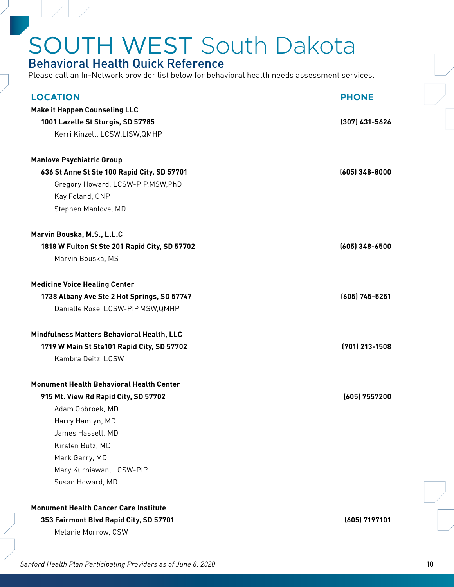### Behavioral Health Quick Reference

Please call an In-Network provider list below for behavioral health needs assessment services.

| <b>LOCATION</b>                                 | <b>PHONE</b>     |
|-------------------------------------------------|------------------|
| <b>Make it Happen Counseling LLC</b>            |                  |
| 1001 Lazelle St Sturgis, SD 57785               | $(307)$ 431-5626 |
| Kerri Kinzell, LCSW, LISW, QMHP                 |                  |
| <b>Manlove Psychiatric Group</b>                |                  |
| 636 St Anne St Ste 100 Rapid City, SD 57701     | $(605)$ 348-8000 |
| Gregory Howard, LCSW-PIP, MSW, PhD              |                  |
| Kay Foland, CNP                                 |                  |
| Stephen Manlove, MD                             |                  |
| Marvin Bouska, M.S., L.L.C                      |                  |
| 1818 W Fulton St Ste 201 Rapid City, SD 57702   | $(605)$ 348-6500 |
| Marvin Bouska, MS                               |                  |
| <b>Medicine Voice Healing Center</b>            |                  |
| 1738 Albany Ave Ste 2 Hot Springs, SD 57747     | (605) 745-5251   |
| Danialle Rose, LCSW-PIP, MSW, QMHP              |                  |
| Mindfulness Matters Behavioral Health, LLC      |                  |
| 1719 W Main St Ste101 Rapid City, SD 57702      | (701) 213-1508   |
| Kambra Deitz, LCSW                              |                  |
| <b>Monument Health Behavioral Health Center</b> |                  |
| 915 Mt. View Rd Rapid City, SD 57702            | (605) 7557200    |
| Adam Opbroek, MD                                |                  |
| Harry Hamlyn, MD                                |                  |
| James Hassell, MD                               |                  |
| Kirsten Butz, MD                                |                  |
| Mark Garry, MD                                  |                  |
| Mary Kurniawan, LCSW-PIP                        |                  |
| Susan Howard, MD                                |                  |
| <b>Monument Health Cancer Care Institute</b>    |                  |
| 353 Fairmont Blvd Rapid City, SD 57701          | (605) 7197101    |
| Melanie Morrow, CSW                             |                  |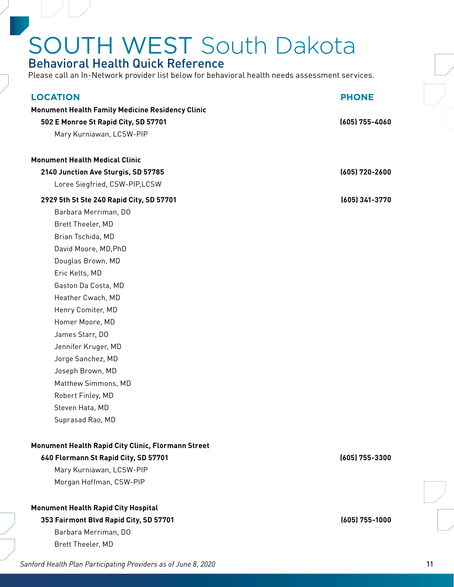### Behavioral Health Quick Reference

Please call an In-Network provider list below for behavioral health needs assessment services.

| <b>LOCATION</b>                                         | <b>PHONE</b>   |
|---------------------------------------------------------|----------------|
| <b>Monument Health Family Medicine Residency Clinic</b> |                |
| 502 E Monroe St Rapid City, SD 57701                    | (605) 755-4060 |
| Mary Kurniawan, LCSW-PIP                                |                |
|                                                         |                |
| <b>Monument Health Medical Clinic</b>                   |                |
| 2140 Junction Ave Sturgis, SD 57785                     | (605) 720-2600 |
| Loree Siegfried, CSW-PIP,LCSW                           |                |
| 2929 5th St Ste 240 Rapid City, SD 57701                | (605) 341-3770 |
| Barbara Merriman, DO                                    |                |
| Brett Theeler, MD                                       |                |
| Brian Tschida, MD                                       |                |
| David Moore, MD, PhD                                    |                |
| Douglas Brown, MD                                       |                |
| Eric Kelts, MD                                          |                |
| Gaston Da Costa, MD                                     |                |
| Heather Cwach, MD                                       |                |
| Henry Comiter, MD                                       |                |
| Homer Moore, MD                                         |                |
| James Starr, DO                                         |                |
| Jennifer Kruger, MD                                     |                |
| Jorge Sanchez, MD                                       |                |
| Joseph Brown, MD                                        |                |
| Matthew Simmons, MD                                     |                |
| Robert Finley, MD                                       |                |
| Steven Hata, MD                                         |                |
| Suprasad Rao, MD                                        |                |
| Monument Health Rapid City Clinic, Flormann Street      |                |
| 640 Flormann St Rapid City, SD 57701                    | (605) 755-3300 |
| Mary Kurniawan, LCSW-PIP                                |                |
| Morgan Hoffman, CSW-PIP                                 |                |
| <b>Monument Health Rapid City Hospital</b>              |                |
| 353 Fairmont Blvd Rapid City, SD 57701                  | (605) 755-1000 |
| Barbara Merriman, DO                                    |                |

Sanford Health Plan Participating Providers as of June 8, 2020 11

Brett Theeler, MD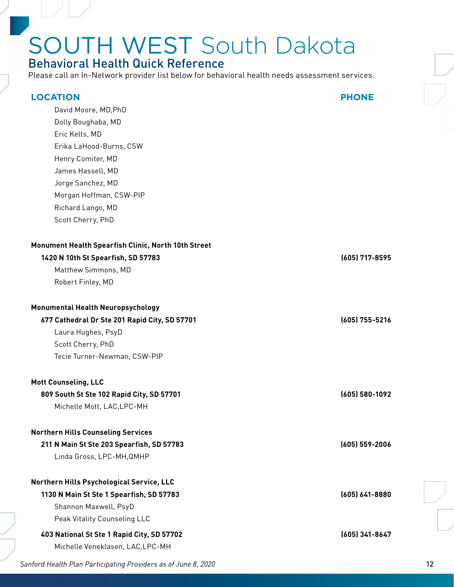### Behavioral Health Quick Reference

Please call an In-Network provider list below for behavioral health needs assessment services.

| <b>LOCATION</b><br>David Moore, MD, PhD<br>Dolly Boughaba, MD<br>Eric Kelts, MD<br>Erika LaHood-Burns, CSW<br>Henry Comiter, MD<br>James Hassell, MD<br>Jorge Sanchez, MD<br>Morgan Hoffman, CSW-PIP<br>Richard Lango, MD<br>Scott Cherry, PhD | <b>PHONE</b>       |
|------------------------------------------------------------------------------------------------------------------------------------------------------------------------------------------------------------------------------------------------|--------------------|
| Monument Health Spearfish Clinic, North 10th Street<br>1420 N 10th St Spearfish, SD 57783<br>Matthew Simmons, MD<br>Robert Finley, MD                                                                                                          | (605) 717-8595     |
| Monumental Health Neuropsychology<br>677 Cathedral Dr Ste 201 Rapid City, SD 57701<br>Laura Hughes, PsyD<br>Scott Cherry, PhD<br>Tecie Turner-Newman, CSW-PIP                                                                                  | (605) 755-5216     |
| <b>Mott Counseling, LLC</b><br>809 South St Ste 102 Rapid City, SD 57701<br>Michelle Mott, LAC, LPC-MH                                                                                                                                         | (605) 580-1092     |
| <b>Northern Hills Counseling Services</b><br>211 N Main St Ste 203 Spearfish, SD 57783<br>Linda Gross, LPC-MH, QMHP                                                                                                                            | $(605) 559 - 2006$ |
| Northern Hills Psychological Service, LLC<br>1130 N Main St Ste 1 Spearfish, SD 57783<br>Shannon Maxwell, PsyD<br>Peak Vitality Counseling LLC                                                                                                 | (605) 641-8880     |
| 403 National St Ste 1 Rapid City, SD 57702<br>Michelle Veneklasen, LAC, LPC-MH                                                                                                                                                                 | (605) 341-8647     |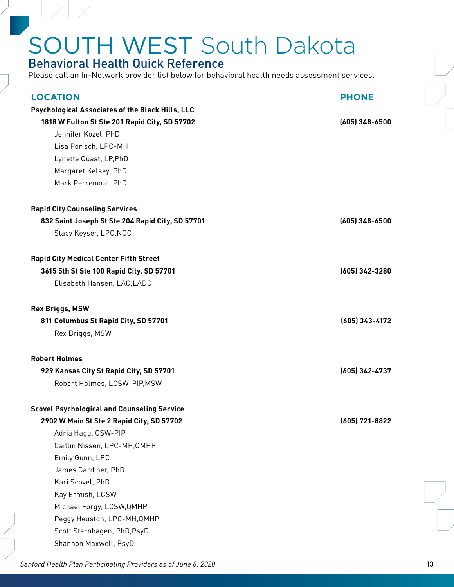### Behavioral Health Quick Reference

Please call an In-Network provider list below for behavioral health needs assessment services.

| <b>LOCATION</b>                                    | <b>PHONE</b>     |
|----------------------------------------------------|------------------|
| Psychological Associates of the Black Hills, LLC   |                  |
| 1818 W Fulton St Ste 201 Rapid City, SD 57702      | $(605)$ 348-6500 |
| Jennifer Kozel, PhD                                |                  |
| Lisa Porisch, LPC-MH                               |                  |
| Lynette Quast, LP, PhD                             |                  |
| Margaret Kelsey, PhD                               |                  |
| Mark Perrenoud, PhD                                |                  |
| <b>Rapid City Counseling Services</b>              |                  |
| 832 Saint Joseph St Ste 204 Rapid City, SD 57701   | $(605)$ 348-6500 |
| Stacy Keyser, LPC, NCC                             |                  |
| <b>Rapid City Medical Center Fifth Street</b>      |                  |
| 3615 5th St Ste 100 Rapid City, SD 57701           | (605) 342-3280   |
| Elisabeth Hansen, LAC, LADC                        |                  |
| <b>Rex Briggs, MSW</b>                             |                  |
| 811 Columbus St Rapid City, SD 57701               | (605) 343-4172   |
| Rex Briggs, MSW                                    |                  |
| <b>Robert Holmes</b>                               |                  |
| 929 Kansas City St Rapid City, SD 57701            | (605) 342-4737   |
| Robert Holmes, LCSW-PIP, MSW                       |                  |
| <b>Scovel Psychological and Counseling Service</b> |                  |
| 2902 W Main St Ste 2 Rapid City, SD 57702          | (605) 721-8822   |
| Adria Hagg, CSW-PIP                                |                  |
| Caitlin Nissen, LPC-MH, QMHP                       |                  |
| Emily Gunn, LPC                                    |                  |
| James Gardiner, PhD                                |                  |
| Kari Scovel, PhD                                   |                  |
| Kay Ermish, LCSW                                   |                  |
| Michael Forgy, LCSW, QMHP                          |                  |
| Peggy Heuston, LPC-MH, QMHP                        |                  |
| Scott Sternhagen, PhD, PsyD                        |                  |
| Shannon Maxwell, PsyD                              |                  |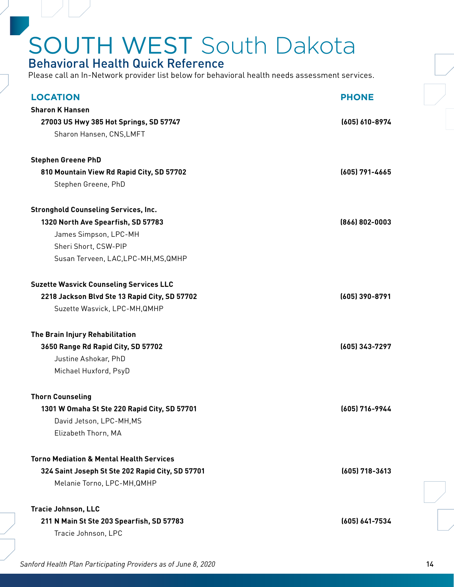#### Behavioral Health Quick Reference

| <b>LOCATION</b>                                     | <b>PHONE</b>   |
|-----------------------------------------------------|----------------|
| <b>Sharon K Hansen</b>                              |                |
| 27003 US Hwy 385 Hot Springs, SD 57747              | (605) 610-8974 |
| Sharon Hansen, CNS, LMFT                            |                |
| <b>Stephen Greene PhD</b>                           |                |
| 810 Mountain View Rd Rapid City, SD 57702           | (605) 791-4665 |
| Stephen Greene, PhD                                 |                |
|                                                     |                |
| <b>Stronghold Counseling Services, Inc.</b>         |                |
| 1320 North Ave Spearfish, SD 57783                  | (866) 802-0003 |
| James Simpson, LPC-MH                               |                |
| Sheri Short, CSW-PIP                                |                |
| Susan Terveen, LAC, LPC-MH, MS, QMHP                |                |
| <b>Suzette Wasvick Counseling Services LLC</b>      |                |
| 2218 Jackson Blvd Ste 13 Rapid City, SD 57702       | (605) 390-8791 |
| Suzette Wasvick, LPC-MH, QMHP                       |                |
| The Brain Injury Rehabilitation                     |                |
| 3650 Range Rd Rapid City, SD 57702                  | (605) 343-7297 |
| Justine Ashokar, PhD                                |                |
| Michael Huxford, PsyD                               |                |
| <b>Thorn Counseling</b>                             |                |
| 1301 W Omaha St Ste 220 Rapid City, SD 57701        | (605) 716-9944 |
| David Jetson, LPC-MH.MS                             |                |
| Elizabeth Thorn, MA                                 |                |
| <b>Torno Mediation &amp; Mental Health Services</b> |                |
| 324 Saint Joseph St Ste 202 Rapid City, SD 57701    | (605) 718-3613 |
| Melanie Torno, LPC-MH, QMHP                         |                |
|                                                     |                |
| Tracie Johnson, LLC                                 |                |
| 211 N Main St Ste 203 Spearfish, SD 57783           | (605) 641-7534 |
| Tracie Johnson, LPC                                 |                |
|                                                     |                |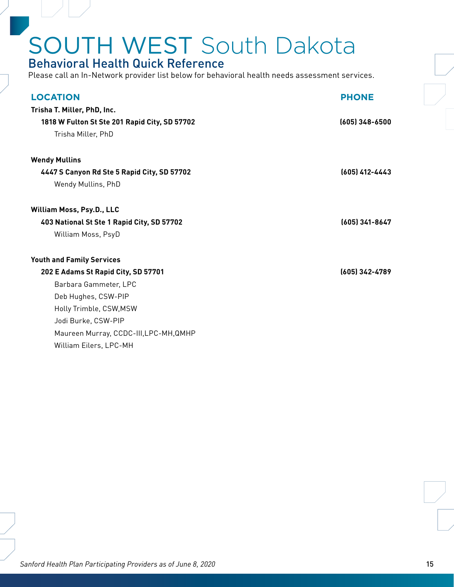#### Behavioral Health Quick Reference

| <b>LOCATION</b>                               | <b>PHONE</b>     |
|-----------------------------------------------|------------------|
| Trisha T. Miller, PhD, Inc.                   |                  |
| 1818 W Fulton St Ste 201 Rapid City, SD 57702 | $(605)$ 348-6500 |
| Trisha Miller, PhD                            |                  |
| <b>Wendy Mullins</b>                          |                  |
| 4447 S Canyon Rd Ste 5 Rapid City, SD 57702   | (605) 412-4443   |
| Wendy Mullins, PhD                            |                  |
| William Moss, Psy.D., LLC                     |                  |
| 403 National St Ste 1 Rapid City, SD 57702    | (605) 341-8647   |
| William Moss, PsyD                            |                  |
| <b>Youth and Family Services</b>              |                  |
| 202 E Adams St Rapid City, SD 57701           | (605) 342-4789   |
| Barbara Gammeter, LPC                         |                  |
| Deb Hughes, CSW-PIP                           |                  |
| Holly Trimble, CSW, MSW                       |                  |
| Jodi Burke, CSW-PIP                           |                  |
| Maureen Murray, CCDC-III, LPC-MH, QMHP        |                  |
| William Eilers, LPC-MH                        |                  |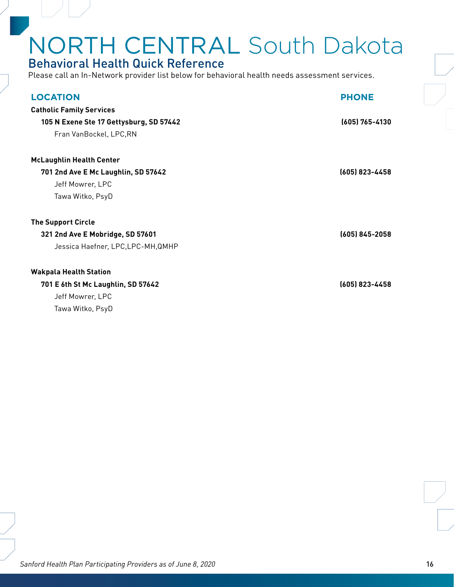# <span id="page-15-0"></span>NORTH CENTRAL South Dakota

### Behavioral Health Quick Reference

Please call an In-Network provider list below for behavioral health needs assessment services.

| <b>LOCATION</b>                         | <b>PHONE</b>   |
|-----------------------------------------|----------------|
| <b>Catholic Family Services</b>         |                |
| 105 N Exene Ste 17 Gettysburg, SD 57442 | (605) 765-4130 |
| Fran VanBockel, LPC, RN                 |                |
| <b>McLaughlin Health Center</b>         |                |
| 701 2nd Ave E Mc Laughlin, SD 57642     | (605) 823-4458 |
| Jeff Mowrer, LPC                        |                |
| Tawa Witko, PsyD                        |                |
| <b>The Support Circle</b>               |                |
| 321 2nd Ave E Mobridge, SD 57601        | (605) 845-2058 |
| Jessica Haefner, LPC,LPC-MH, QMHP       |                |
| <b>Wakpala Health Station</b>           |                |
| 701 E 6th St Mc Laughlin, SD 57642      | (605) 823-4458 |
| Jeff Mowrer, LPC                        |                |

Tawa Witko, PsyD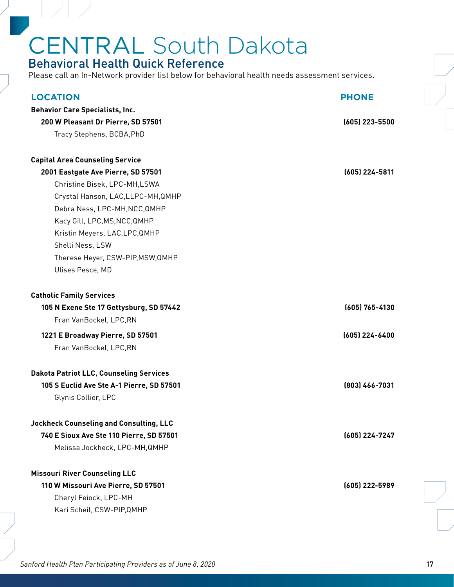# <span id="page-16-0"></span>CENTRAL South Dakota

### Behavioral Health Quick Reference

Please call an In-Network provider list below for behavioral health needs assessment services.

| <b>LOCATION</b>                                | <b>PHONE</b>   |
|------------------------------------------------|----------------|
| <b>Behavior Care Specialists, Inc.</b>         |                |
| 200 W Pleasant Dr Pierre, SD 57501             | (605) 223-5500 |
| Tracy Stephens, BCBA, PhD                      |                |
|                                                |                |
| <b>Capital Area Counseling Service</b>         |                |
| 2001 Eastgate Ave Pierre, SD 57501             | (605) 224-5811 |
| Christine Bisek, LPC-MH,LSWA                   |                |
| Crystal Hanson, LAC, LLPC-MH, QMHP             |                |
| Debra Ness, LPC-MH, NCC, QMHP                  |                |
| Kacy Gill, LPC, MS, NCC, QMHP                  |                |
| Kristin Meyers, LAC, LPC, QMHP                 |                |
| Shelli Ness, LSW                               |                |
| Therese Heyer, CSW-PIP, MSW, QMHP              |                |
| Ulises Pesce, MD                               |                |
| <b>Catholic Family Services</b>                |                |
| 105 N Exene Ste 17 Gettysburg, SD 57442        | (605) 765-4130 |
| Fran VanBockel, LPC, RN                        |                |
| 1221 E Broadway Pierre, SD 57501               | (605) 224-6400 |
| Fran VanBockel, LPC, RN                        |                |
| <b>Dakota Patriot LLC, Counseling Services</b> |                |
| 105 S Euclid Ave Ste A-1 Pierre, SD 57501      | (803) 466-7031 |
| Glynis Collier, LPC                            |                |
| <b>Jockheck Counseling and Consulting, LLC</b> |                |
| 740 E Sioux Ave Ste 110 Pierre, SD 57501       | (605) 224-7247 |
| Melissa Jockheck, LPC-MH, QMHP                 |                |
| <b>Missouri River Counseling LLC</b>           |                |
| 110 W Missouri Ave Pierre, SD 57501            | (605) 222-5989 |
| Cheryl Feiock, LPC-MH                          |                |
| Kari Scheil, CSW-PIP, QMHP                     |                |
|                                                |                |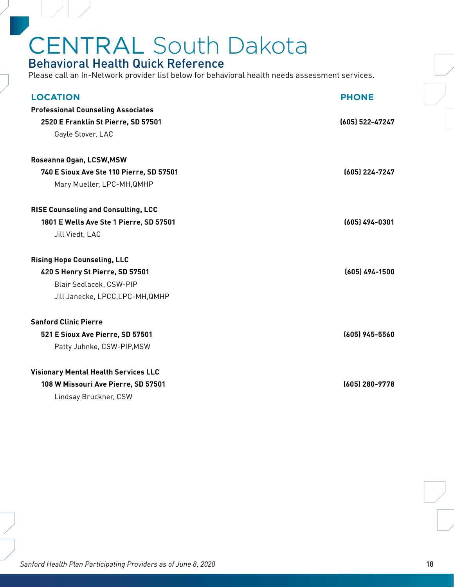# CENTRAL South Dakota

### Behavioral Health Quick Reference

Please call an In-Network provider list below for behavioral health needs assessment services.

| <b>Professional Counseling Associates</b><br>(605) 522-47247<br>2520 E Franklin St Pierre, SD 57501<br>Gayle Stover, LAC<br>Roseanna Ogan, LCSW, MSW<br>740 E Sioux Ave Ste 110 Pierre, SD 57501<br>(605) 224-7247<br>Mary Mueller, LPC-MH, QMHP<br><b>RISE Counseling and Consulting, LCC</b><br>(605) 494-0301<br>1801 E Wells Ave Ste 1 Pierre, SD 57501<br>Jill Viedt, LAC<br><b>Rising Hope Counseling, LLC</b><br>(605) 494-1500<br>420 S Henry St Pierre, SD 57501<br>Blair Sedlacek, CSW-PIP<br>Jill Janecke, LPCC, LPC-MH, QMHP<br><b>Sanford Clinic Pierre</b> |
|--------------------------------------------------------------------------------------------------------------------------------------------------------------------------------------------------------------------------------------------------------------------------------------------------------------------------------------------------------------------------------------------------------------------------------------------------------------------------------------------------------------------------------------------------------------------------|
|                                                                                                                                                                                                                                                                                                                                                                                                                                                                                                                                                                          |
|                                                                                                                                                                                                                                                                                                                                                                                                                                                                                                                                                                          |
|                                                                                                                                                                                                                                                                                                                                                                                                                                                                                                                                                                          |
|                                                                                                                                                                                                                                                                                                                                                                                                                                                                                                                                                                          |
|                                                                                                                                                                                                                                                                                                                                                                                                                                                                                                                                                                          |
|                                                                                                                                                                                                                                                                                                                                                                                                                                                                                                                                                                          |
|                                                                                                                                                                                                                                                                                                                                                                                                                                                                                                                                                                          |
|                                                                                                                                                                                                                                                                                                                                                                                                                                                                                                                                                                          |
|                                                                                                                                                                                                                                                                                                                                                                                                                                                                                                                                                                          |
|                                                                                                                                                                                                                                                                                                                                                                                                                                                                                                                                                                          |
|                                                                                                                                                                                                                                                                                                                                                                                                                                                                                                                                                                          |
|                                                                                                                                                                                                                                                                                                                                                                                                                                                                                                                                                                          |
|                                                                                                                                                                                                                                                                                                                                                                                                                                                                                                                                                                          |
|                                                                                                                                                                                                                                                                                                                                                                                                                                                                                                                                                                          |
| 521 E Sioux Ave Pierre, SD 57501<br>(605) 945-5560                                                                                                                                                                                                                                                                                                                                                                                                                                                                                                                       |
| Patty Juhnke, CSW-PIP, MSW                                                                                                                                                                                                                                                                                                                                                                                                                                                                                                                                               |
| <b>Visionary Mental Health Services LLC</b>                                                                                                                                                                                                                                                                                                                                                                                                                                                                                                                              |
| 108 W Missouri Ave Pierre, SD 57501<br>(605) 280-9778                                                                                                                                                                                                                                                                                                                                                                                                                                                                                                                    |
|                                                                                                                                                                                                                                                                                                                                                                                                                                                                                                                                                                          |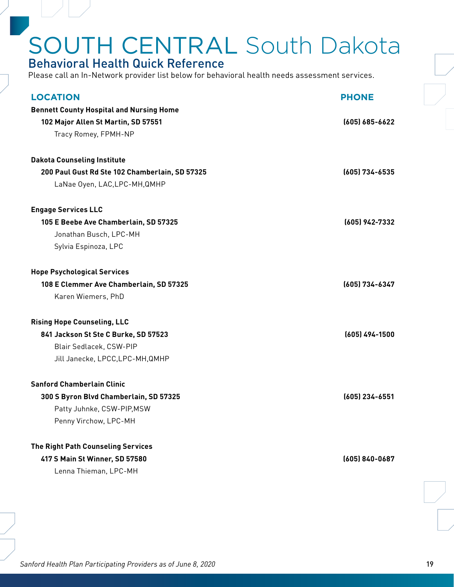### <span id="page-18-0"></span>Behavioral Health Quick Reference

| <b>LOCATION</b>                                 | <b>PHONE</b>       |
|-------------------------------------------------|--------------------|
| <b>Bennett County Hospital and Nursing Home</b> |                    |
| 102 Major Allen St Martin, SD 57551             | $(605) 685 - 6622$ |
| Tracy Romey, FPMH-NP                            |                    |
|                                                 |                    |
| <b>Dakota Counseling Institute</b>              |                    |
| 200 Paul Gust Rd Ste 102 Chamberlain, SD 57325  | (605) 734-6535     |
| LaNae Oyen, LAC, LPC-MH, QMHP                   |                    |
| <b>Engage Services LLC</b>                      |                    |
| 105 E Beebe Ave Chamberlain, SD 57325           | (605) 942-7332     |
| Jonathan Busch, LPC-MH                          |                    |
| Sylvia Espinoza, LPC                            |                    |
| <b>Hope Psychological Services</b>              |                    |
| 108 E Clemmer Ave Chamberlain, SD 57325         | (605) 734-6347     |
| Karen Wiemers, PhD                              |                    |
| <b>Rising Hope Counseling, LLC</b>              |                    |
| 841 Jackson St Ste C Burke, SD 57523            | $(605)$ 494-1500   |
| Blair Sedlacek, CSW-PIP                         |                    |
| Jill Janecke, LPCC, LPC-MH, QMHP                |                    |
| <b>Sanford Chamberlain Clinic</b>               |                    |
| 300 S Byron Blvd Chamberlain, SD 57325          | (605) 234-6551     |
| Patty Juhnke, CSW-PIP, MSW                      |                    |
| Penny Virchow, LPC-MH                           |                    |
|                                                 |                    |
| The Right Path Counseling Services              |                    |
| 417 S Main St Winner, SD 57580                  | (605) 840-0687     |
| Lenna Thieman, LPC-MH                           |                    |
|                                                 |                    |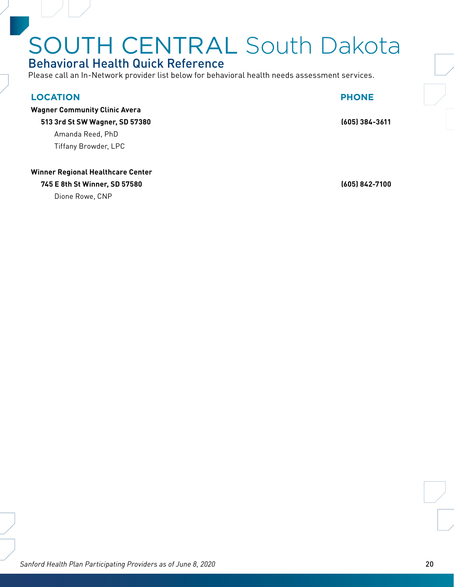### Behavioral Health Quick Reference

Please call an In-Network provider list below for behavioral health needs assessment services.

#### **LOCATION PHONE**

**Wagner Community Clinic Avera**

**513 3rd St SW Wagner, SD 57380 (605) 384-3611**

Amanda Reed, PhD Tiffany Browder, LPC

#### **Winner Regional Healthcare Center**

**745 E 8th St Winner, SD 57580 (605) 842-7100**

Dione Rowe, CNP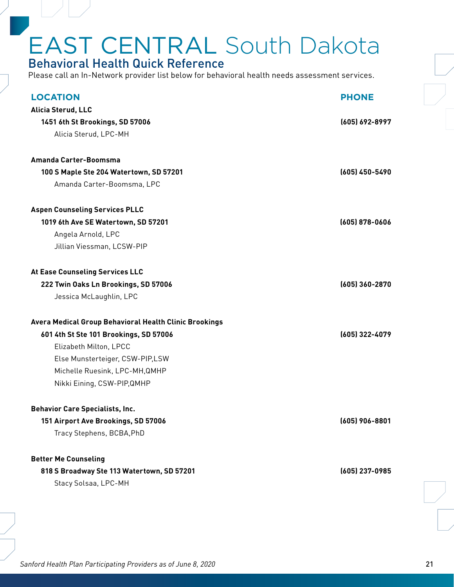### <span id="page-20-0"></span>Behavioral Health Quick Reference

| <b>LOCATION</b>                                                    | <b>PHONE</b>     |
|--------------------------------------------------------------------|------------------|
| Alicia Sterud, LLC                                                 |                  |
| 1451 6th St Brookings, SD 57006                                    | (605) 692-8997   |
| Alicia Sterud, LPC-MH                                              |                  |
|                                                                    |                  |
| Amanda Carter-Boomsma                                              |                  |
| 100 S Maple Ste 204 Watertown, SD 57201                            | (605) 450-5490   |
| Amanda Carter-Boomsma, LPC                                         |                  |
| <b>Aspen Counseling Services PLLC</b>                              |                  |
| 1019 6th Ave SE Watertown, SD 57201                                | $(605)$ 878-0606 |
| Angela Arnold, LPC                                                 |                  |
| Jillian Viessman, LCSW-PIP                                         |                  |
| At Ease Counseling Services LLC                                    |                  |
| 222 Twin Oaks Ln Brookings, SD 57006                               | (605) 360-2870   |
| Jessica McLaughlin, LPC                                            |                  |
| Avera Medical Group Behavioral Health Clinic Brookings             |                  |
|                                                                    | (605) 322-4079   |
|                                                                    |                  |
| 601 4th St Ste 101 Brookings, SD 57006                             |                  |
| Elizabeth Milton, LPCC                                             |                  |
| Else Munsterteiger, CSW-PIP,LSW                                    |                  |
| Michelle Ruesink, LPC-MH, QMHP                                     |                  |
| Nikki Eining, CSW-PIP, QMHP                                        |                  |
| <b>Behavior Care Specialists, Inc.</b>                             |                  |
| 151 Airport Ave Brookings, SD 57006                                | (605) 906-8801   |
| Tracy Stephens, BCBA, PhD                                          |                  |
|                                                                    |                  |
| <b>Better Me Counseling</b>                                        |                  |
| 818 S Broadway Ste 113 Watertown, SD 57201<br>Stacy Solsaa, LPC-MH | (605) 237-0985   |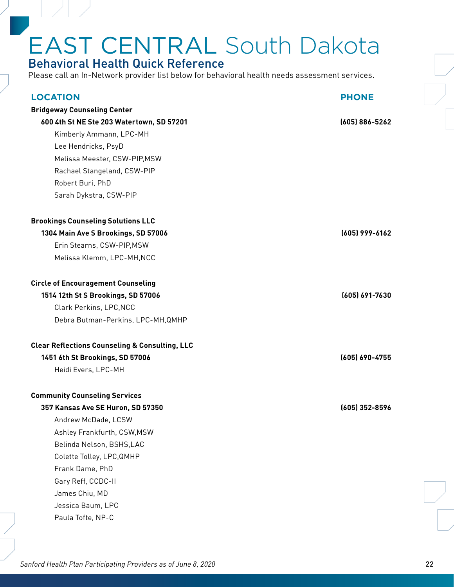### EAST CENTRAL South Dakota Behavioral Health Quick Reference

Please call an In-Network provider list below for behavioral health needs assessment services.

| <b>LOCATION</b>                                           | <b>PHONE</b>   |
|-----------------------------------------------------------|----------------|
| <b>Bridgeway Counseling Center</b>                        |                |
| 600 4th St NE Ste 203 Watertown, SD 57201                 | (605) 886-5262 |
| Kimberly Ammann, LPC-MH                                   |                |
| Lee Hendricks, PsyD                                       |                |
| Melissa Meester, CSW-PIP, MSW                             |                |
| Rachael Stangeland, CSW-PIP                               |                |
| Robert Buri, PhD                                          |                |
| Sarah Dykstra, CSW-PIP                                    |                |
| <b>Brookings Counseling Solutions LLC</b>                 |                |
| 1304 Main Ave S Brookings, SD 57006                       | (605) 999-6162 |
| Erin Stearns, CSW-PIP, MSW                                |                |
| Melissa Klemm, LPC-MH, NCC                                |                |
| <b>Circle of Encouragement Counseling</b>                 |                |
| 1514 12th St S Brookings, SD 57006                        | (605) 691-7630 |
| Clark Perkins, LPC, NCC                                   |                |
| Debra Butman-Perkins, LPC-MH, QMHP                        |                |
| <b>Clear Reflections Counseling &amp; Consulting, LLC</b> |                |
| 1451 6th St Brookings, SD 57006                           | (605) 690-4755 |
| Heidi Evers, LPC-MH                                       |                |
| <b>Community Counseling Services</b>                      |                |
| 357 Kansas Ave SE Huron, SD 57350                         | (605) 352-8596 |
| Andrew McDade, LCSW                                       |                |
| Ashley Frankfurth, CSW, MSW                               |                |
| Belinda Nelson, BSHS,LAC                                  |                |
| Colette Tolley, LPC, QMHP                                 |                |
| Frank Dame, PhD                                           |                |
| Gary Reff, CCDC-II                                        |                |
| James Chiu, MD                                            |                |
| Jessica Baum, LPC                                         |                |
| Paula Tofte, NP-C                                         |                |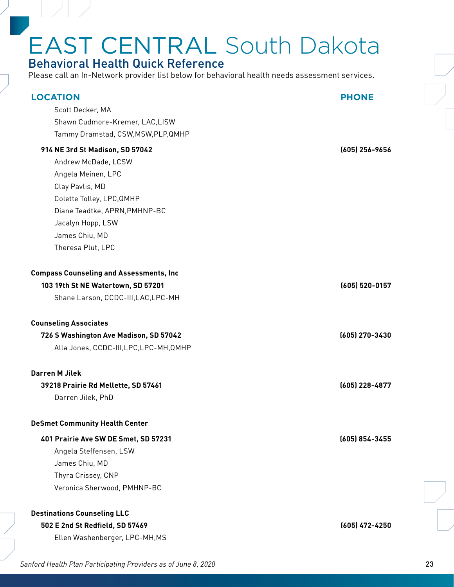### EAST CENTRAL South Dakota Behavioral Health Quick Reference

| <b>LOCATION</b><br>Scott Decker, MA<br>Shawn Cudmore-Kremer, LAC,LISW<br>Tammy Dramstad, CSW, MSW, PLP, QMHP                                                                                                              | <b>PHONE</b>   |
|---------------------------------------------------------------------------------------------------------------------------------------------------------------------------------------------------------------------------|----------------|
| 914 NE 3rd St Madison, SD 57042<br>Andrew McDade, LCSW<br>Angela Meinen, LPC<br>Clay Pavlis, MD<br>Colette Tolley, LPC, QMHP<br>Diane Teadtke, APRN, PMHNP-BC<br>Jacalyn Hopp, LSW<br>James Chiu, MD<br>Theresa Plut, LPC | (605) 256-9656 |
| <b>Compass Counseling and Assessments, Inc.</b><br>103 19th St NE Watertown, SD 57201<br>Shane Larson, CCDC-III, LAC, LPC-MH                                                                                              | (605) 520-0157 |
| <b>Counseling Associates</b><br>726 S Washington Ave Madison, SD 57042<br>Alla Jones, CCDC-III, LPC, LPC-MH, QMHP                                                                                                         | (605) 270-3430 |
| <b>Darren M Jilek</b><br>39218 Prairie Rd Mellette, SD 57461<br>Darren Jilek, PhD                                                                                                                                         | (605) 228-4877 |
| <b>DeSmet Community Health Center</b><br>401 Prairie Ave SW DE Smet, SD 57231<br>Angela Steffensen, LSW<br>James Chiu, MD<br>Thyra Crissey, CNP<br>Veronica Sherwood, PMHNP-BC                                            | (605) 854-3455 |
| <b>Destinations Counseling LLC</b><br>502 E 2nd St Redfield, SD 57469<br>Ellen Washenberger, LPC-MH, MS                                                                                                                   | (605) 472-4250 |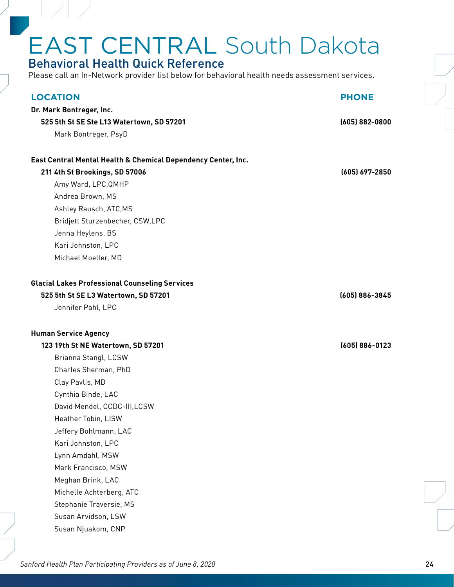### Behavioral Health Quick Reference

Please call an In-Network provider list below for behavioral health needs assessment services.

| <b>LOCATION</b><br>Dr. Mark Bontreger, Inc.                   | <b>PHONE</b>       |
|---------------------------------------------------------------|--------------------|
| 525 5th St SE Ste L13 Watertown, SD 57201                     | $(605) 882 - 0800$ |
| Mark Bontreger, PsyD                                          |                    |
|                                                               |                    |
| East Central Mental Health & Chemical Dependency Center, Inc. |                    |
| 211 4th St Brookings, SD 57006                                | (605) 697-2850     |
| Amy Ward, LPC, QMHP                                           |                    |
| Andrea Brown, MS                                              |                    |
| Ashley Rausch, ATC, MS                                        |                    |
| Bridjett Sturzenbecher, CSW,LPC                               |                    |
| Jenna Heylens, BS                                             |                    |
| Kari Johnston, LPC                                            |                    |
| Michael Moeller, MD                                           |                    |
|                                                               |                    |
| <b>Glacial Lakes Professional Counseling Services</b>         |                    |
| 525 5th St SE L3 Watertown, SD 57201                          | (605) 886-3845     |
| Jennifer Pahl, LPC                                            |                    |
|                                                               |                    |
| <b>Human Service Agency</b>                                   |                    |
| 123 19th St NE Watertown, SD 57201                            | (605) 886-0123     |
| Brianna Stangl, LCSW                                          |                    |
| Charles Sherman, PhD                                          |                    |
| Clay Pavlis, MD                                               |                    |
| Cynthia Binde, LAC                                            |                    |
| David Mendel, CCDC-III, LCSW                                  |                    |
| Heather Tobin, LISW                                           |                    |
| Jeffery Bohlmann, LAC                                         |                    |
| Kari Johnston, LPC                                            |                    |
| Lynn Amdahl, MSW                                              |                    |
| Mark Francisco, MSW                                           |                    |
| Meghan Brink, LAC                                             |                    |
| Michelle Achterberg, ATC                                      |                    |
|                                                               |                    |
|                                                               |                    |
| Stephanie Traversie, MS<br>Susan Arvidson, LSW                |                    |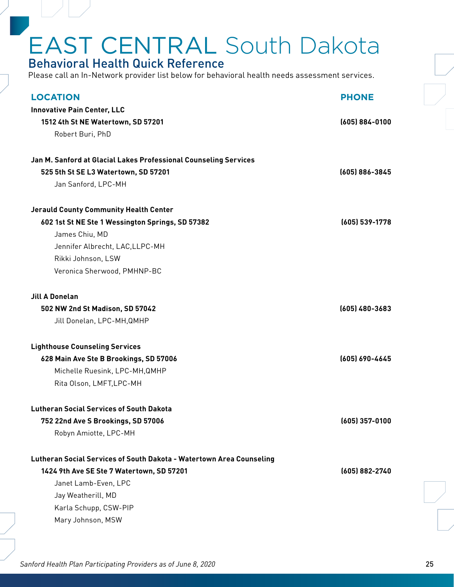### Behavioral Health Quick Reference

Please call an In-Network provider list below for behavioral health needs assessment services.

| <b>LOCATION</b>                                                      | <b>PHONE</b>       |
|----------------------------------------------------------------------|--------------------|
| <b>Innovative Pain Center, LLC</b>                                   |                    |
| 1512 4th St NE Watertown, SD 57201                                   | $(605) 884 - 0100$ |
| Robert Buri, PhD                                                     |                    |
| Jan M. Sanford at Glacial Lakes Professional Counseling Services     |                    |
| 525 5th St SE L3 Watertown, SD 57201                                 | (605) 886-3845     |
| Jan Sanford, LPC-MH                                                  |                    |
| <b>Jerauld County Community Health Center</b>                        |                    |
| 602 1st St NE Ste 1 Wessington Springs, SD 57382                     | (605) 539-1778     |
| James Chiu, MD                                                       |                    |
| Jennifer Albrecht, LAC, LLPC-MH                                      |                    |
| Rikki Johnson, LSW                                                   |                    |
| Veronica Sherwood, PMHNP-BC                                          |                    |
| <b>Jill A Donelan</b>                                                |                    |
| 502 NW 2nd St Madison, SD 57042                                      | $(605)$ 480-3683   |
| Jill Donelan, LPC-MH, QMHP                                           |                    |
| <b>Lighthouse Counseling Services</b>                                |                    |
| 628 Main Ave Ste B Brookings, SD 57006                               | (605) 690-4645     |
| Michelle Ruesink, LPC-MH, QMHP                                       |                    |
| Rita Olson, LMFT, LPC-MH                                             |                    |
| <b>Lutheran Social Services of South Dakota</b>                      |                    |
| 752 22nd Ave S Brookings, SD 57006                                   | $(605)$ 357-0100   |
| Robyn Amiotte, LPC-MH                                                |                    |
| Lutheran Social Services of South Dakota - Watertown Area Counseling |                    |
| 1424 9th Ave SE Ste 7 Watertown, SD 57201                            | (605) 882-2740     |
| Janet Lamb-Even, LPC                                                 |                    |
| Jay Weatherill, MD                                                   |                    |
| Karla Schupp, CSW-PIP                                                |                    |
| Mary Johnson, MSW                                                    |                    |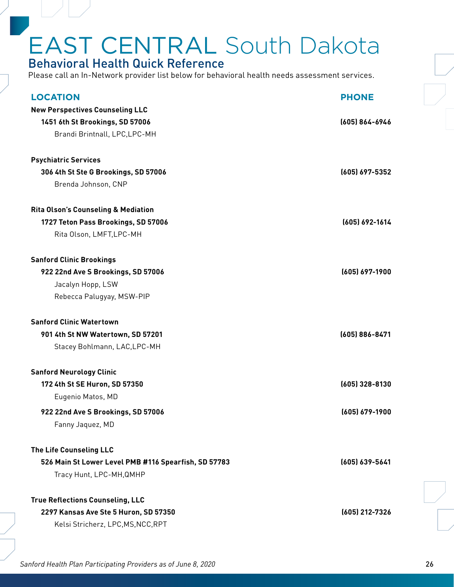### Behavioral Health Quick Reference

| <b>LOCATION</b>                                      | <b>PHONE</b>     |
|------------------------------------------------------|------------------|
| <b>New Perspectives Counseling LLC</b>               |                  |
| 1451 6th St Brookings, SD 57006                      | (605) 864-6946   |
| Brandi Brintnall, LPC, LPC-MH                        |                  |
| <b>Psychiatric Services</b>                          |                  |
| 306 4th St Ste G Brookings, SD 57006                 | (605) 697-5352   |
| Brenda Johnson, CNP                                  |                  |
| <b>Rita Olson's Counseling &amp; Mediation</b>       |                  |
| 1727 Teton Pass Brookings, SD 57006                  | (605) 692-1614   |
| Rita Olson, LMFT, LPC-MH                             |                  |
| <b>Sanford Clinic Brookings</b>                      |                  |
| 922 22nd Ave S Brookings, SD 57006                   | (605) 697-1900   |
| Jacalyn Hopp, LSW                                    |                  |
| Rebecca Palugyay, MSW-PIP                            |                  |
| <b>Sanford Clinic Watertown</b>                      |                  |
| 901 4th St NW Watertown, SD 57201                    | (605) 886-8471   |
| Stacey Bohlmann, LAC, LPC-MH                         |                  |
| <b>Sanford Neurology Clinic</b>                      |                  |
| 172 4th St SE Huron, SD 57350                        | $(605)$ 328-8130 |
| Eugenio Matos, MD                                    |                  |
| 922 22nd Ave S Brookings, SD 57006                   | (605) 679-1900   |
| Fanny Jaquez, MD                                     |                  |
|                                                      |                  |
| The Life Counseling LLC                              |                  |
| 526 Main St Lower Level PMB #116 Spearfish, SD 57783 | (605) 639-5641   |
| Tracy Hunt, LPC-MH, QMHP                             |                  |
| <b>True Reflections Counseling, LLC</b>              |                  |
| 2297 Kansas Ave Ste 5 Huron, SD 57350                | (605) 212-7326   |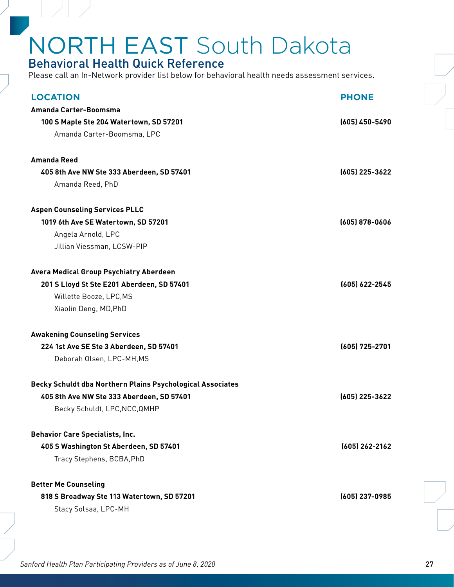### <span id="page-26-0"></span>Behavioral Health Quick Reference

Please call an In-Network provider list below for behavioral health needs assessment services.

| <b>LOCATION</b>                                            | <b>PHONE</b>     |
|------------------------------------------------------------|------------------|
| Amanda Carter-Boomsma                                      |                  |
| 100 S Maple Ste 204 Watertown, SD 57201                    | $(605)$ 450-5490 |
| Amanda Carter-Boomsma, LPC                                 |                  |
|                                                            |                  |
| <b>Amanda Reed</b>                                         |                  |
| 405 8th Ave NW Ste 333 Aberdeen, SD 57401                  | $(605)$ 225-3622 |
| Amanda Reed, PhD                                           |                  |
| <b>Aspen Counseling Services PLLC</b>                      |                  |
| 1019 6th Ave SE Watertown, SD 57201                        | $(605)$ 878-0606 |
| Angela Arnold, LPC                                         |                  |
| Jillian Viessman, LCSW-PIP                                 |                  |
| <b>Avera Medical Group Psychiatry Aberdeen</b>             |                  |
| 201 S Lloyd St Ste E201 Aberdeen, SD 57401                 | (605) 622-2545   |
| Willette Booze, LPC, MS                                    |                  |
| Xiaolin Deng, MD, PhD                                      |                  |
| <b>Awakening Counseling Services</b>                       |                  |
| 224 1st Ave SE Ste 3 Aberdeen, SD 57401                    | (605) 725-2701   |
| Deborah Olsen, LPC-MH, MS                                  |                  |
| Becky Schuldt dba Northern Plains Psychological Associates |                  |
| 405 8th Ave NW Ste 333 Aberdeen, SD 57401                  | (605) 225-3622   |
| Becky Schuldt, LPC, NCC, QMHP                              |                  |
| <b>Behavior Care Specialists, Inc.</b>                     |                  |
| 405 S Washington St Aberdeen, SD 57401                     | (605) 262-2162   |
| Tracy Stephens, BCBA, PhD                                  |                  |
| <b>Better Me Counseling</b>                                |                  |
| 818 S Broadway Ste 113 Watertown, SD 57201                 | (605) 237-0985   |
| Stacy Solsaa, LPC-MH                                       |                  |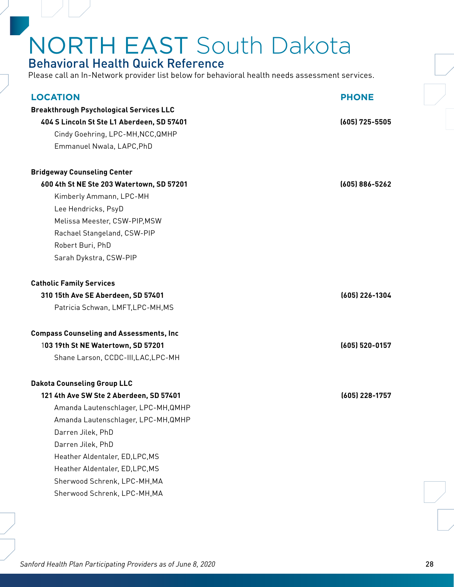### Behavioral Health Quick Reference

| <b>LOCATION</b>                                 | <b>PHONE</b>     |
|-------------------------------------------------|------------------|
| <b>Breakthrough Psychological Services LLC</b>  |                  |
| 404 S Lincoln St Ste L1 Aberdeen, SD 57401      | $(605)$ 725-5505 |
| Cindy Goehring, LPC-MH, NCC, QMHP               |                  |
| Emmanuel Nwala, LAPC, PhD                       |                  |
| <b>Bridgeway Counseling Center</b>              |                  |
| 600 4th St NE Ste 203 Watertown, SD 57201       | (605) 886-5262   |
| Kimberly Ammann, LPC-MH                         |                  |
| Lee Hendricks, PsyD                             |                  |
| Melissa Meester, CSW-PIP, MSW                   |                  |
| Rachael Stangeland, CSW-PIP                     |                  |
| Robert Buri, PhD                                |                  |
| Sarah Dykstra, CSW-PIP                          |                  |
| <b>Catholic Family Services</b>                 |                  |
| 310 15th Ave SE Aberdeen, SD 57401              | (605) 226-1304   |
| Patricia Schwan, LMFT, LPC-MH, MS               |                  |
| <b>Compass Counseling and Assessments, Inc.</b> |                  |
| 103 19th St NE Watertown, SD 57201              | (605) 520-0157   |
| Shane Larson, CCDC-III, LAC, LPC-MH             |                  |
| <b>Dakota Counseling Group LLC</b>              |                  |
| 121 4th Ave SW Ste 2 Aberdeen, SD 57401         | (605) 228-1757   |
| Amanda Lautenschlager, LPC-MH, QMHP             |                  |
| Amanda Lautenschlager, LPC-MH, QMHP             |                  |
| Darren Jilek, PhD                               |                  |
| Darren Jilek, PhD                               |                  |
| Heather Aldentaler, ED, LPC, MS                 |                  |
| Heather Aldentaler, ED, LPC, MS                 |                  |
| Sherwood Schrenk, LPC-MH, MA                    |                  |
| Sherwood Schrenk, LPC-MH, MA                    |                  |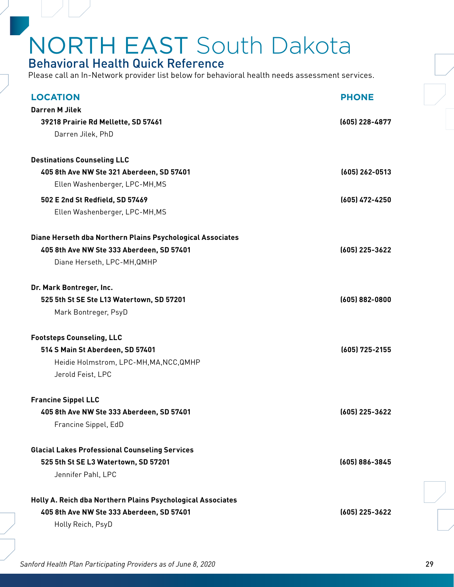### Behavioral Health Quick Reference

Please call an In-Network provider list below for behavioral health needs assessment services.

| <b>LOCATION</b>                                             | <b>PHONE</b>       |
|-------------------------------------------------------------|--------------------|
| <b>Darren M Jilek</b>                                       |                    |
| 39218 Prairie Rd Mellette, SD 57461                         | (605) 228-4877     |
| Darren Jilek, PhD                                           |                    |
|                                                             |                    |
| <b>Destinations Counseling LLC</b>                          |                    |
| 405 8th Ave NW Ste 321 Aberdeen, SD 57401                   | $(605)$ 262-0513   |
| Ellen Washenberger, LPC-MH, MS                              |                    |
| 502 E 2nd St Redfield, SD 57469                             | (605) 472-4250     |
| Ellen Washenberger, LPC-MH, MS                              |                    |
| Diane Herseth dba Northern Plains Psychological Associates  |                    |
| 405 8th Ave NW Ste 333 Aberdeen, SD 57401                   | (605) 225-3622     |
| Diane Herseth, LPC-MH, QMHP                                 |                    |
|                                                             |                    |
| Dr. Mark Bontreger, Inc.                                    |                    |
| 525 5th St SE Ste L13 Watertown, SD 57201                   | $(605) 882 - 0800$ |
| Mark Bontreger, PsyD                                        |                    |
| <b>Footsteps Counseling, LLC</b>                            |                    |
| 514 S Main St Aberdeen, SD 57401                            | (605) 725-2155     |
| Heidie Holmstrom, LPC-MH, MA, NCC, QMHP                     |                    |
| Jerold Feist, LPC                                           |                    |
| <b>Francine Sippel LLC</b>                                  |                    |
| 405 8th Ave NW Ste 333 Aberdeen, SD 57401                   | (605) 225-3622     |
| Francine Sippel, EdD                                        |                    |
| <b>Glacial Lakes Professional Counseling Services</b>       |                    |
| 525 5th St SE L3 Watertown, SD 57201                        | (605) 886-3845     |
| Jennifer Pahl, LPC                                          |                    |
|                                                             |                    |
| Holly A. Reich dba Northern Plains Psychological Associates |                    |
| 405 8th Ave NW Ste 333 Aberdeen, SD 57401                   | (605) 225-3622     |
| Holly Reich, PsyD                                           |                    |
|                                                             |                    |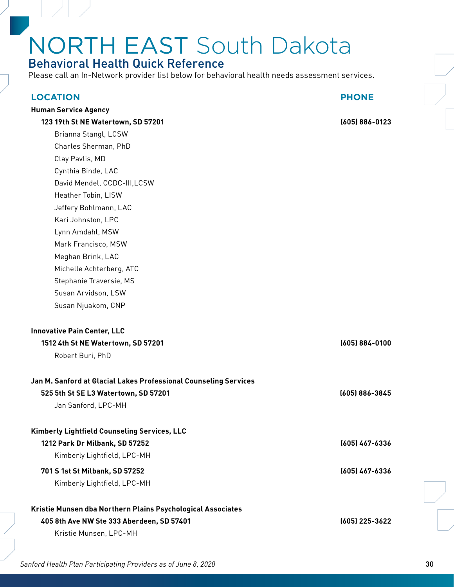### Behavioral Health Quick Reference

Please call an In-Network provider list below for behavioral health needs assessment services.

| <b>LOCATION</b>                                                  | <b>PHONE</b>       |
|------------------------------------------------------------------|--------------------|
| <b>Human Service Agency</b>                                      |                    |
| 123 19th St NE Watertown, SD 57201                               | $(605) 886 - 0123$ |
| Brianna Stangl, LCSW                                             |                    |
| Charles Sherman, PhD                                             |                    |
| Clay Pavlis, MD                                                  |                    |
| Cynthia Binde, LAC                                               |                    |
| David Mendel, CCDC-III, LCSW                                     |                    |
| Heather Tobin, LISW                                              |                    |
| Jeffery Bohlmann, LAC                                            |                    |
| Kari Johnston, LPC                                               |                    |
| Lynn Amdahl, MSW                                                 |                    |
| Mark Francisco, MSW                                              |                    |
| Meghan Brink, LAC                                                |                    |
| Michelle Achterberg, ATC                                         |                    |
| Stephanie Traversie, MS                                          |                    |
| Susan Arvidson, LSW                                              |                    |
| Susan Njuakom, CNP                                               |                    |
| <b>Innovative Pain Center, LLC</b>                               |                    |
| 1512 4th St NE Watertown, SD 57201                               | $(605) 884 - 0100$ |
| Robert Buri, PhD                                                 |                    |
| Jan M. Sanford at Glacial Lakes Professional Counseling Services |                    |
| 525 5th St SE L3 Watertown, SD 57201                             | (605) 886-3845     |
| Jan Sanford, LPC-MH                                              |                    |
| Kimberly Lightfield Counseling Services, LLC                     |                    |
| 1212 Park Dr Milbank, SD 57252                                   | (605) 467-6336     |
| Kimberly Lightfield, LPC-MH                                      |                    |
| 701 S 1st St Milbank, SD 57252                                   | (605) 467-6336     |
| Kimberly Lightfield, LPC-MH                                      |                    |
| Kristie Munsen dba Northern Plains Psychological Associates      |                    |
| 405 8th Ave NW Ste 333 Aberdeen, SD 57401                        | (605) 225-3622     |
| Kristie Munsen, LPC-MH                                           |                    |
|                                                                  |                    |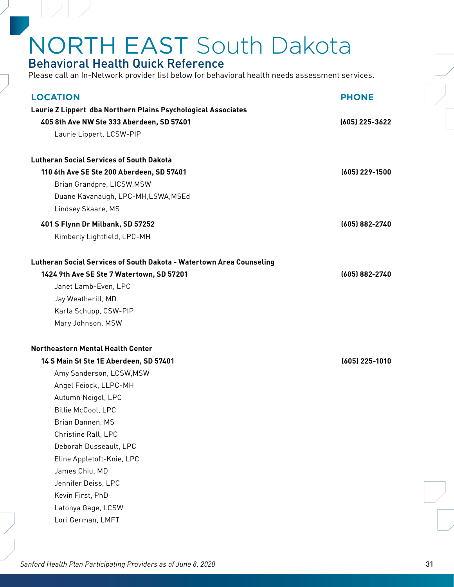### Behavioral Health Quick Reference

Please call an In-Network provider list below for behavioral health needs assessment services.

| <b>LOCATION</b>                                                      | <b>PHONE</b>     |
|----------------------------------------------------------------------|------------------|
| Laurie Z Lippert dba Northern Plains Psychological Associates        |                  |
| 405 8th Ave NW Ste 333 Aberdeen, SD 57401                            | (605) 225-3622   |
| Laurie Lippert, LCSW-PIP                                             |                  |
|                                                                      |                  |
| <b>Lutheran Social Services of South Dakota</b>                      |                  |
| 110 6th Ave SE Ste 200 Aberdeen, SD 57401                            | (605) 229-1500   |
| Brian Grandpre, LICSW, MSW                                           |                  |
| Duane Kavanaugh, LPC-MH,LSWA, MSEd                                   |                  |
| Lindsey Skaare, MS                                                   |                  |
| 401 S Flynn Dr Milbank, SD 57252                                     | (605) 882-2740   |
| Kimberly Lightfield, LPC-MH                                          |                  |
|                                                                      |                  |
| Lutheran Social Services of South Dakota - Watertown Area Counseling |                  |
| 1424 9th Ave SE Ste 7 Watertown, SD 57201                            | (605) 882-2740   |
| Janet Lamb-Even, LPC                                                 |                  |
| Jay Weatherill, MD                                                   |                  |
| Karla Schupp, CSW-PIP                                                |                  |
| Mary Johnson, MSW                                                    |                  |
| Northeastern Mental Health Center                                    |                  |
| 14 S Main St Ste 1E Aberdeen, SD 57401                               | $(605)$ 225-1010 |
| Amy Sanderson, LCSW, MSW                                             |                  |
| Angel Feiock, LLPC-MH                                                |                  |
| Autumn Neigel, LPC                                                   |                  |
| Billie McCool, LPC                                                   |                  |
| Brian Dannen, MS                                                     |                  |
| Christine Rall, LPC                                                  |                  |
| Deborah Dusseault, LPC                                               |                  |
| Eline Appletoft-Knie, LPC                                            |                  |
| James Chiu, MD                                                       |                  |
| Jennifer Deiss, LPC                                                  |                  |
| Kevin First, PhD                                                     |                  |
| Latonya Gage, LCSW                                                   |                  |
| Lori German, LMFT                                                    |                  |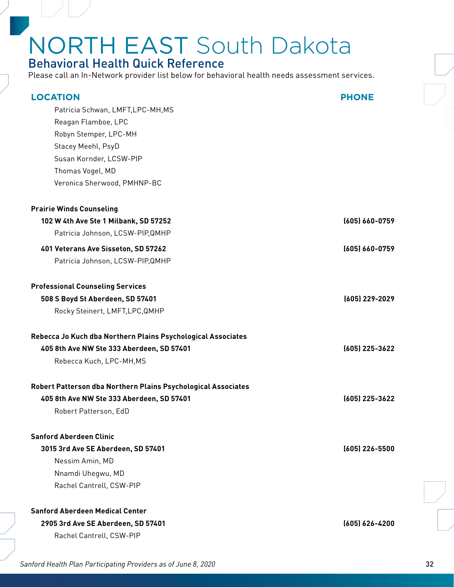### Behavioral Health Quick Reference

| <b>LOCATION</b>                                               | <b>PHONE</b>     |
|---------------------------------------------------------------|------------------|
| Patricia Schwan, LMFT, LPC-MH, MS                             |                  |
| Reagan Flamboe, LPC                                           |                  |
| Robyn Stemper, LPC-MH                                         |                  |
| Stacey Meehl, PsyD                                            |                  |
| Susan Kornder, LCSW-PIP                                       |                  |
| Thomas Vogel, MD                                              |                  |
| Veronica Sherwood, PMHNP-BC                                   |                  |
| <b>Prairie Winds Counseling</b>                               |                  |
| 102 W 4th Ave Ste 1 Milbank, SD 57252                         | (605) 660-0759   |
| Patricia Johnson, LCSW-PIP, QMHP                              |                  |
| 401 Veterans Ave Sisseton, SD 57262                           | (605) 660-0759   |
| Patricia Johnson, LCSW-PIP, QMHP                              |                  |
|                                                               |                  |
| <b>Professional Counseling Services</b>                       |                  |
| 508 S Boyd St Aberdeen, SD 57401                              | $(605)$ 229-2029 |
| Rocky Steinert, LMFT, LPC, QMHP                               |                  |
| Rebecca Jo Kuch dba Northern Plains Psychological Associates  |                  |
| 405 8th Ave NW Ste 333 Aberdeen, SD 57401                     | (605) 225-3622   |
| Rebecca Kuch, LPC-MH, MS                                      |                  |
| Robert Patterson dba Northern Plains Psychological Associates |                  |
| 405 8th Ave NW Ste 333 Aberdeen, SD 57401                     | (605) 225-3622   |
| Robert Patterson, EdD                                         |                  |
| <b>Sanford Aberdeen Clinic</b>                                |                  |
| 3015 3rd Ave SE Aberdeen, SD 57401                            | $(605)$ 226-5500 |
| Nessim Amin, MD                                               |                  |
| Nnamdi Uhegwu, MD                                             |                  |
| Rachel Cantrell, CSW-PIP                                      |                  |
| <b>Sanford Aberdeen Medical Center</b>                        |                  |
| 2905 3rd Ave SE Aberdeen, SD 57401                            | (605) 626-4200   |
| Rachel Cantrell, CSW-PIP                                      |                  |
|                                                               |                  |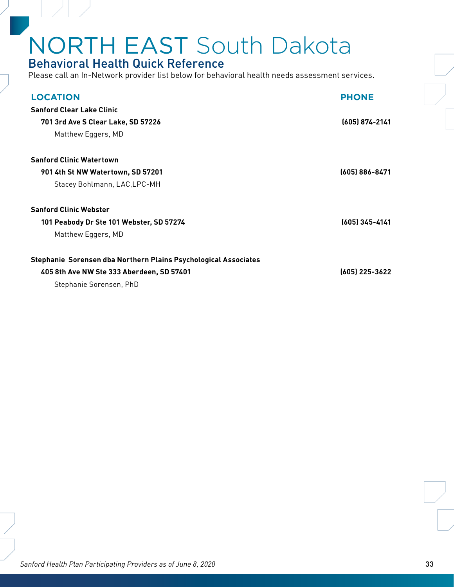### Behavioral Health Quick Reference

Please call an In-Network provider list below for behavioral health needs assessment services.

| <b>LOCATION</b>                                                 | <b>PHONE</b>     |
|-----------------------------------------------------------------|------------------|
| <b>Sanford Clear Lake Clinic</b>                                |                  |
| 701 3rd Ave S Clear Lake, SD 57226                              | $(605)$ 874-2141 |
| Matthew Eggers, MD                                              |                  |
| <b>Sanford Clinic Watertown</b>                                 |                  |
| 901 4th St NW Watertown, SD 57201                               | (605) 886-8471   |
| Stacey Bohlmann, LAC, LPC-MH                                    |                  |
| <b>Sanford Clinic Webster</b>                                   |                  |
| 101 Peabody Dr Ste 101 Webster, SD 57274                        | (605) 345-4141   |
| Matthew Eggers, MD                                              |                  |
| Stephanie Sorensen dba Northern Plains Psychological Associates |                  |
| 405 8th Ave NW Ste 333 Aberdeen, SD 57401                       | (605) 225-3622   |
| Stephanie Sorensen, PhD                                         |                  |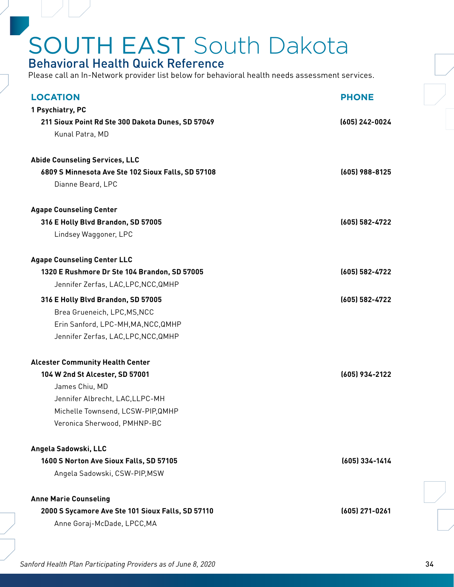#### <span id="page-33-0"></span>Behavioral Health Quick Reference

Please call an In-Network provider list below for behavioral health needs assessment services.

| <b>LOCATION</b>                                    | <b>PHONE</b>   |
|----------------------------------------------------|----------------|
| 1 Psychiatry, PC                                   |                |
| 211 Sioux Point Rd Ste 300 Dakota Dunes, SD 57049  | (605) 242-0024 |
| Kunal Patra, MD                                    |                |
|                                                    |                |
| <b>Abide Counseling Services, LLC</b>              |                |
| 6809 S Minnesota Ave Ste 102 Sioux Falls, SD 57108 | (605) 988-8125 |
| Dianne Beard, LPC                                  |                |
| <b>Agape Counseling Center</b>                     |                |
| 316 E Holly Blvd Brandon, SD 57005                 | (605) 582-4722 |
| Lindsey Waggoner, LPC                              |                |
| <b>Agape Counseling Center LLC</b>                 |                |
| 1320 E Rushmore Dr Ste 104 Brandon, SD 57005       | (605) 582-4722 |
| Jennifer Zerfas, LAC, LPC, NCC, QMHP               |                |
| 316 E Holly Blvd Brandon, SD 57005                 | (605) 582-4722 |
| Brea Grueneich, LPC, MS, NCC                       |                |
| Erin Sanford, LPC-MH, MA, NCC, QMHP                |                |
| Jennifer Zerfas, LAC, LPC, NCC, QMHP               |                |
| <b>Alcester Community Health Center</b>            |                |
| 104 W 2nd St Alcester, SD 57001                    | (605) 934-2122 |
| James Chiu, MD                                     |                |
| Jennifer Albrecht, LAC, LLPC-MH                    |                |
| Michelle Townsend, LCSW-PIP, QMHP                  |                |
| Veronica Sherwood, PMHNP-BC                        |                |
| Angela Sadowski, LLC                               |                |
| 1600 S Norton Ave Sioux Falls, SD 57105            | (605) 334-1414 |
| Angela Sadowski, CSW-PIP, MSW                      |                |
| <b>Anne Marie Counseling</b>                       |                |
| 2000 S Sycamore Ave Ste 101 Sioux Falls, SD 57110  | (605) 271-0261 |
| Anne Goraj-McDade, LPCC, MA                        |                |
|                                                    |                |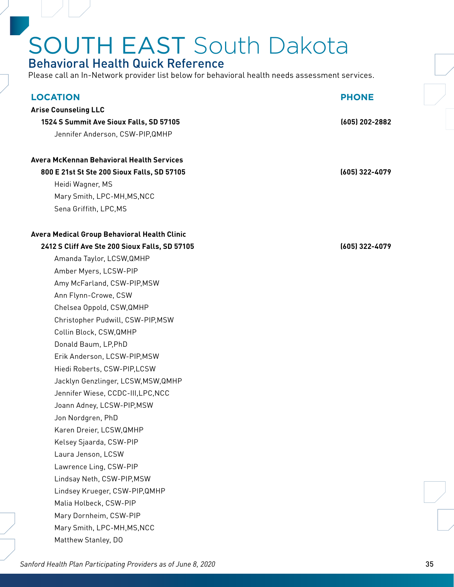### Behavioral Health Quick Reference

Please call an In-Network provider list below for behavioral health needs assessment services.

| <b>LOCATION</b>                                  | <b>PHONE</b>   |
|--------------------------------------------------|----------------|
| <b>Arise Counseling LLC</b>                      |                |
| 1524 S Summit Ave Sioux Falls, SD 57105          | (605) 202-2882 |
| Jennifer Anderson, CSW-PIP, QMHP                 |                |
|                                                  |                |
| <b>Avera McKennan Behavioral Health Services</b> |                |
| 800 E 21st St Ste 200 Sioux Falls, SD 57105      | (605) 322-4079 |
| Heidi Wagner, MS                                 |                |
| Mary Smith, LPC-MH, MS, NCC                      |                |
| Sena Griffith, LPC, MS                           |                |
| Avera Medical Group Behavioral Health Clinic     |                |
| 2412 S Cliff Ave Ste 200 Sioux Falls, SD 57105   | (605) 322-4079 |
| Amanda Taylor, LCSW, QMHP                        |                |
| Amber Myers, LCSW-PIP                            |                |
| Amy McFarland, CSW-PIP, MSW                      |                |
| Ann Flynn-Crowe, CSW                             |                |
| Chelsea Oppold, CSW, QMHP                        |                |
| Christopher Pudwill, CSW-PIP, MSW                |                |
| Collin Block, CSW, QMHP                          |                |
| Donald Baum, LP, PhD                             |                |
| Erik Anderson, LCSW-PIP, MSW                     |                |
| Hiedi Roberts, CSW-PIP,LCSW                      |                |
| Jacklyn Genzlinger, LCSW, MSW, QMHP              |                |
| Jennifer Wiese, CCDC-III, LPC, NCC               |                |
| Joann Adney, LCSW-PIP, MSW                       |                |
| Jon Nordgren, PhD                                |                |
| Karen Dreier, LCSW, QMHP                         |                |
| Kelsey Sjaarda, CSW-PIP                          |                |
| Laura Jenson, LCSW                               |                |
| Lawrence Ling, CSW-PIP                           |                |
| Lindsay Neth, CSW-PIP, MSW                       |                |
| Lindsey Krueger, CSW-PIP, QMHP                   |                |
| Malia Holbeck, CSW-PIP                           |                |
| Mary Dornheim, CSW-PIP                           |                |
| Mary Smith, LPC-MH, MS, NCC                      |                |
| Matthew Stanley, DO                              |                |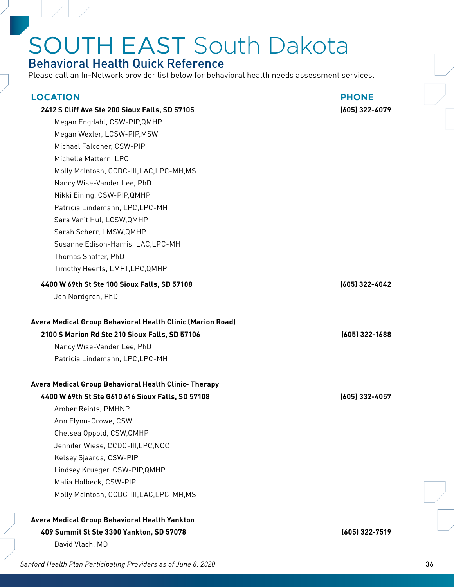### Behavioral Health Quick Reference

| <b>LOCATION</b><br>2412 S Cliff Ave Ste 200 Sioux Falls, SD 57105<br>Megan Engdahl, CSW-PIP, QMHP<br>Megan Wexler, LCSW-PIP, MSW<br>Michael Falconer, CSW-PIP<br>Michelle Mattern, LPC<br>Molly McIntosh, CCDC-III, LAC, LPC-MH, MS<br>Nancy Wise-Vander Lee, PhD<br>Nikki Eining, CSW-PIP, QMHP<br>Patricia Lindemann, LPC, LPC-MH                              | <b>PHONE</b><br>(605) 322-4079 |
|------------------------------------------------------------------------------------------------------------------------------------------------------------------------------------------------------------------------------------------------------------------------------------------------------------------------------------------------------------------|--------------------------------|
| Sara Van't Hul, LCSW, QMHP<br>Sarah Scherr, LMSW, QMHP<br>Susanne Edison-Harris, LAC, LPC-MH<br>Thomas Shaffer, PhD<br>Timothy Heerts, LMFT, LPC, QMHP<br>4400 W 69th St Ste 100 Sioux Falls, SD 57108                                                                                                                                                           | (605) 322-4042                 |
| Jon Nordgren, PhD                                                                                                                                                                                                                                                                                                                                                |                                |
| Avera Medical Group Behavioral Health Clinic (Marion Road)<br>2100 S Marion Rd Ste 210 Sioux Falls, SD 57106<br>Nancy Wise-Vander Lee, PhD<br>Patricia Lindemann, LPC, LPC-MH                                                                                                                                                                                    | (605) 322-1688                 |
| Avera Medical Group Behavioral Health Clinic- Therapy<br>4400 W 69th St Ste G610 616 Sioux Falls, SD 57108<br>Amber Reints, PMHNP<br>Ann Flynn-Crowe, CSW<br>Chelsea Oppold, CSW, QMHP<br>Jennifer Wiese, CCDC-III, LPC, NCC<br>Kelsey Sjaarda, CSW-PIP<br>Lindsey Krueger, CSW-PIP, QMHP<br>Malia Holbeck, CSW-PIP<br>Molly McIntosh, CCDC-III, LAC, LPC-MH, MS | (605) 332-4057                 |
| Avera Medical Group Behavioral Health Yankton<br>409 Summit St Ste 3300 Yankton, SD 57078<br>David Vlach, MD                                                                                                                                                                                                                                                     | (605) 322-7519                 |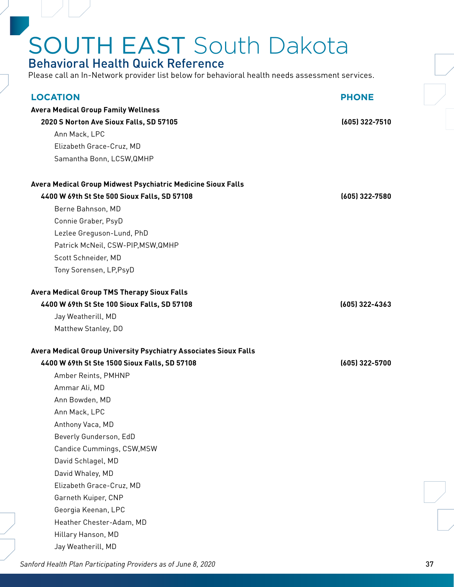### Behavioral Health Quick Reference

Please call an In-Network provider list below for behavioral health needs assessment services.

| <b>LOCATION</b>                                                    | <b>PHONE</b>   |
|--------------------------------------------------------------------|----------------|
| <b>Avera Medical Group Family Wellness</b>                         |                |
| 2020 S Norton Ave Sioux Falls, SD 57105                            | (605) 322-7510 |
| Ann Mack, LPC                                                      |                |
| Elizabeth Grace-Cruz, MD                                           |                |
| Samantha Bonn, LCSW, QMHP                                          |                |
|                                                                    |                |
| Avera Medical Group Midwest Psychiatric Medicine Sioux Falls       |                |
| 4400 W 69th St Ste 500 Sioux Falls, SD 57108                       | (605) 322-7580 |
| Berne Bahnson, MD                                                  |                |
| Connie Graber, PsyD                                                |                |
| Lezlee Greguson-Lund, PhD                                          |                |
| Patrick McNeil, CSW-PIP, MSW, QMHP                                 |                |
| Scott Schneider, MD                                                |                |
| Tony Sorensen, LP, PsyD                                            |                |
| <b>Avera Medical Group TMS Therapy Sioux Falls</b>                 |                |
|                                                                    | (605) 322-4363 |
| 4400 W 69th St Ste 100 Sioux Falls, SD 57108<br>Jay Weatherill, MD |                |
| Matthew Stanley, DO                                                |                |
|                                                                    |                |
| Avera Medical Group University Psychiatry Associates Sioux Falls   |                |
| 4400 W 69th St Ste 1500 Sioux Falls, SD 57108                      | (605) 322-5700 |
|                                                                    |                |
| Amber Reints, PMHNP                                                |                |
| Ammar Ali, MD                                                      |                |
| Ann Bowden, MD                                                     |                |
| Ann Mack, LPC                                                      |                |
| Anthony Vaca, MD                                                   |                |
| Beverly Gunderson, EdD                                             |                |
| Candice Cummings, CSW, MSW                                         |                |
| David Schlagel, MD                                                 |                |
| David Whaley, MD                                                   |                |
| Elizabeth Grace-Cruz, MD                                           |                |
| Garneth Kuiper, CNP                                                |                |
| Georgia Keenan, LPC                                                |                |
| Heather Chester-Adam, MD                                           |                |
| Hillary Hanson, MD                                                 |                |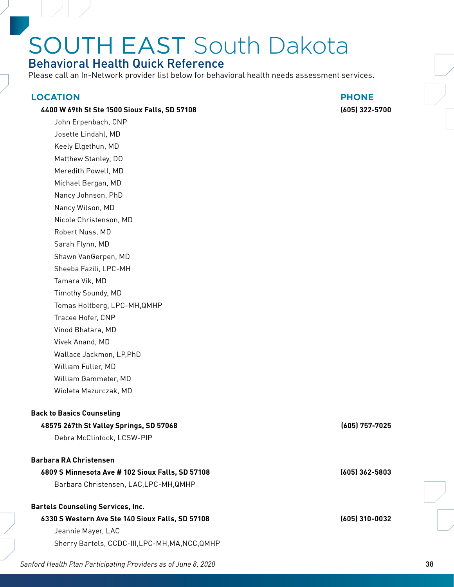### Behavioral Health Quick Reference

Please call an In-Network provider list below for behavioral health needs assessment services.

#### **LOCATION PHONE**

#### **4400 W 69th St Ste 1500 Sioux Falls, SD 57108 (605) 322-5700**

John Erpenbach, CNP Josette Lindahl, MD Keely Elgethun, MD Matthew Stanley, DO Meredith Powell, MD Michael Bergan, MD Nancy Johnson, PhD Nancy Wilson, MD Nicole Christenson, MD Robert Nuss, MD Sarah Flynn, MD Shawn VanGerpen, MD Sheeba Fazili, LPC-MH Tamara Vik, MD Timothy Soundy, MD Tomas Holtberg, LPC-MH,QMHP Tracee Hofer, CNP Vinod Bhatara, MD Vivek Anand, MD Wallace Jackmon, LP,PhD William Fuller, MD William Gammeter, MD Wioleta Mazurczak, MD

#### **Back to Basics Counseling**

#### **48575 267th St Valley Springs, SD 57068 (605) 757-7025**

Debra McClintock, LCSW-PIP

#### **Barbara RA Christensen**

#### **6809 S Minnesota Ave # 102 Sioux Falls, SD 57108 (605) 362-5803**

Barbara Christensen, LAC,LPC-MH,QMHP

#### **Bartels Counseling Services, Inc.**

#### **6330 S Western Ave Ste 140 Sioux Falls, SD 57108 (605) 310-0032** Jeannie Mayer, LAC

Sherry Bartels, CCDC-III,LPC-MH,MA,NCC,QMHP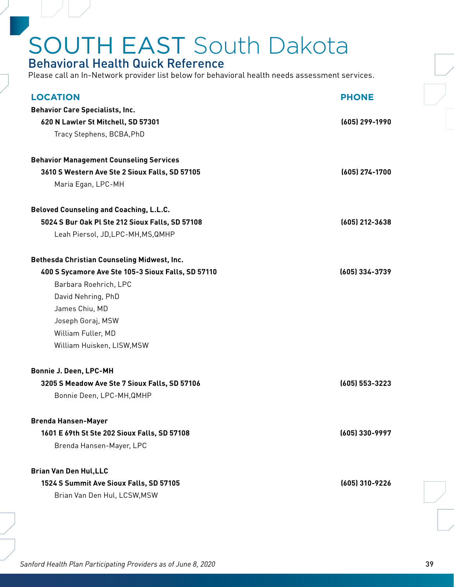### Behavioral Health Quick Reference

| <b>LOCATION</b>                                    | <b>PHONE</b>       |
|----------------------------------------------------|--------------------|
| <b>Behavior Care Specialists, Inc.</b>             |                    |
| 620 N Lawler St Mitchell, SD 57301                 | (605) 299-1990     |
| Tracy Stephens, BCBA, PhD                          |                    |
|                                                    |                    |
| <b>Behavior Management Counseling Services</b>     |                    |
| 3610 S Western Ave Ste 2 Sioux Falls, SD 57105     | (605) 274-1700     |
| Maria Egan, LPC-MH                                 |                    |
| <b>Beloved Counseling and Coaching, L.L.C.</b>     |                    |
| 5024 S Bur Oak Pl Ste 212 Sioux Falls, SD 57108    | (605) 212-3638     |
| Leah Piersol, JD, LPC-MH, MS, QMHP                 |                    |
| Bethesda Christian Counseling Midwest, Inc.        |                    |
| 400 S Sycamore Ave Ste 105-3 Sioux Falls, SD 57110 | (605) 334-3739     |
| Barbara Roehrich, LPC                              |                    |
| David Nehring, PhD                                 |                    |
| James Chiu, MD                                     |                    |
| Joseph Goraj, MSW                                  |                    |
| William Fuller, MD                                 |                    |
| William Huisken, LISW, MSW                         |                    |
| <b>Bonnie J. Deen, LPC-MH</b>                      |                    |
| 3205 S Meadow Ave Ste 7 Sioux Falls, SD 57106      | $(605) 553 - 3223$ |
| Bonnie Deen, LPC-MH, QMHP                          |                    |
| <b>Brenda Hansen-Mayer</b>                         |                    |
| 1601 E 69th St Ste 202 Sioux Falls, SD 57108       | (605) 330-9997     |
| Brenda Hansen-Mayer, LPC                           |                    |
|                                                    |                    |
| <b>Brian Van Den Hul, LLC</b>                      |                    |
| 1524 S Summit Ave Sioux Falls, SD 57105            | (605) 310-9226     |
| Brian Van Den Hul, LCSW, MSW                       |                    |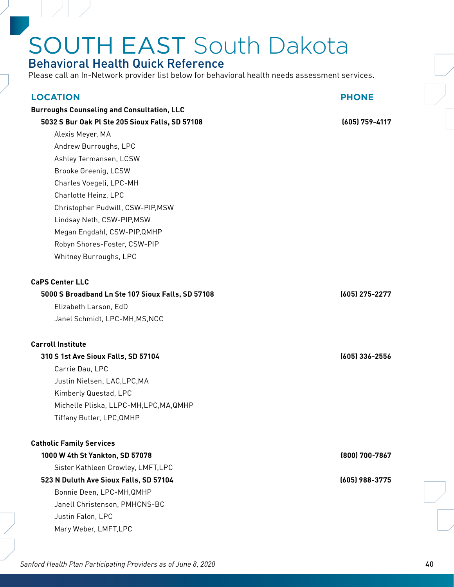### Behavioral Health Quick Reference

Please call an In-Network provider list below for behavioral health needs assessment services.

| <b>LOCATION</b>                                   | <b>PHONE</b>   |
|---------------------------------------------------|----------------|
| <b>Burroughs Counseling and Consultation, LLC</b> |                |
| 5032 S Bur Oak Pl Ste 205 Sioux Falls, SD 57108   | (605) 759-4117 |
| Alexis Meyer, MA                                  |                |
| Andrew Burroughs, LPC                             |                |
| Ashley Termansen, LCSW                            |                |
| Brooke Greenig, LCSW                              |                |
| Charles Voegeli, LPC-MH                           |                |
| Charlotte Heinz, LPC                              |                |
| Christopher Pudwill, CSW-PIP, MSW                 |                |
| Lindsay Neth, CSW-PIP, MSW                        |                |
| Megan Engdahl, CSW-PIP, QMHP                      |                |
| Robyn Shores-Foster, CSW-PIP                      |                |
| Whitney Burroughs, LPC                            |                |
|                                                   |                |
| <b>CaPS Center LLC</b>                            |                |
| 5000 S Broadband Ln Ste 107 Sioux Falls, SD 57108 | (605) 275-2277 |
| Elizabeth Larson, EdD                             |                |
| Janel Schmidt, LPC-MH, MS, NCC                    |                |
| <b>Carroll Institute</b>                          |                |
| 310 S 1st Ave Sioux Falls, SD 57104               | (605) 336-2556 |
| Carrie Dau, LPC                                   |                |
| Justin Nielsen, LAC, LPC, MA                      |                |
| Kimberly Questad, LPC                             |                |
| Michelle Pliska, LLPC-MH, LPC, MA, QMHP           |                |
| Tiffany Butler, LPC, QMHP                         |                |
| <b>Catholic Family Services</b>                   |                |
| 1000 W 4th St Yankton, SD 57078                   | (800) 700-7867 |
| Sister Kathleen Crowley, LMFT, LPC                |                |
| 523 N Duluth Ave Sioux Falls, SD 57104            | (605) 988-3775 |
| Bonnie Deen, LPC-MH, QMHP                         |                |
| Janell Christenson, PMHCNS-BC                     |                |
| Justin Falon, LPC                                 |                |
| Mary Weber, LMFT, LPC                             |                |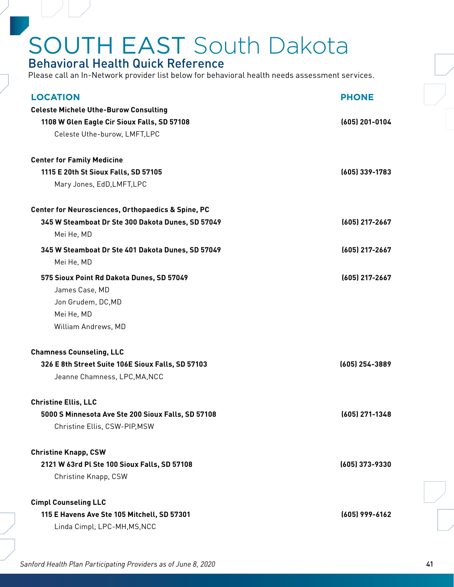#### Behavioral Health Quick Reference

| <b>LOCATION</b>                                               | <b>PHONE</b>     |
|---------------------------------------------------------------|------------------|
| <b>Celeste Michele Uthe-Burow Consulting</b>                  |                  |
| 1108 W Glen Eagle Cir Sioux Falls, SD 57108                   | $(605)$ 201-0104 |
| Celeste Uthe-burow, LMFT,LPC                                  |                  |
| <b>Center for Family Medicine</b>                             |                  |
| 1115 E 20th St Sioux Falls, SD 57105                          | (605) 339-1783   |
| Mary Jones, EdD, LMFT, LPC                                    |                  |
| <b>Center for Neurosciences, Orthopaedics &amp; Spine, PC</b> |                  |
| 345 W Steamboat Dr Ste 300 Dakota Dunes, SD 57049             | (605) 217-2667   |
| Mei He, MD                                                    |                  |
| 345 W Steamboat Dr Ste 401 Dakota Dunes, SD 57049             | (605) 217-2667   |
| Mei He, MD                                                    |                  |
| 575 Sioux Point Rd Dakota Dunes, SD 57049                     | (605) 217-2667   |
| James Case, MD                                                |                  |
| Jon Grudem, DC, MD                                            |                  |
| Mei He, MD                                                    |                  |
| William Andrews, MD                                           |                  |
| <b>Chamness Counseling, LLC</b>                               |                  |
| 326 E 8th Street Suite 106E Sioux Falls, SD 57103             | (605) 254-3889   |
| Jeanne Chamness, LPC, MA, NCC                                 |                  |
| <b>Christine Ellis, LLC</b>                                   |                  |
| 5000 S Minnesota Ave Ste 200 Sioux Falls, SD 57108            | $(605)$ 271-1348 |
| Christine Ellis, CSW-PIP, MSW                                 |                  |
| <b>Christine Knapp, CSW</b>                                   |                  |
| 2121 W 63rd Pl Ste 100 Sioux Falls, SD 57108                  | (605) 373-9330   |
| Christine Knapp, CSW                                          |                  |
| <b>Cimpl Counseling LLC</b>                                   |                  |
| 115 E Havens Ave Ste 105 Mitchell, SD 57301                   | (605) 999-6162   |
| Linda Cimpl, LPC-MH, MS, NCC                                  |                  |
|                                                               |                  |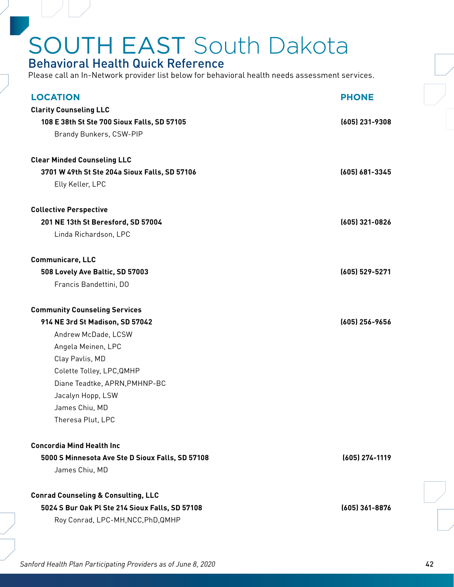#### Behavioral Health Quick Reference

| <b>LOCATION</b>                                  | <b>PHONE</b>     |
|--------------------------------------------------|------------------|
| <b>Clarity Counseling LLC</b>                    |                  |
| 108 E 38th St Ste 700 Sioux Falls, SD 57105      | $(605)$ 231-9308 |
| Brandy Bunkers, CSW-PIP                          |                  |
|                                                  |                  |
| <b>Clear Minded Counseling LLC</b>               |                  |
| 3701 W 49th St Ste 204a Sioux Falls, SD 57106    | (605) 681-3345   |
| Elly Keller, LPC                                 |                  |
| <b>Collective Perspective</b>                    |                  |
| 201 NE 13th St Beresford, SD 57004               | (605) 321-0826   |
| Linda Richardson, LPC                            |                  |
|                                                  |                  |
| <b>Communicare, LLC</b>                          |                  |
| 508 Lovely Ave Baltic, SD 57003                  | (605) 529-5271   |
| Francis Bandettini, DO                           |                  |
| <b>Community Counseling Services</b>             |                  |
| 914 NE 3rd St Madison, SD 57042                  | (605) 256-9656   |
| Andrew McDade, LCSW                              |                  |
| Angela Meinen, LPC                               |                  |
| Clay Pavlis, MD                                  |                  |
| Colette Tolley, LPC, QMHP                        |                  |
| Diane Teadtke, APRN, PMHNP-BC                    |                  |
| Jacalyn Hopp, LSW                                |                  |
| James Chiu, MD                                   |                  |
| Theresa Plut, LPC                                |                  |
| <b>Concordia Mind Health Inc</b>                 |                  |
| 5000 S Minnesota Ave Ste D Sioux Falls, SD 57108 | (605) 274-1119   |
| James Chiu, MD                                   |                  |
|                                                  |                  |
| <b>Conrad Counseling &amp; Consulting, LLC</b>   |                  |
| 5024 S Bur Oak Pl Ste 214 Sioux Falls, SD 57108  | (605) 361-8876   |
| Roy Conrad, LPC-MH, NCC, PhD, QMHP               |                  |
|                                                  |                  |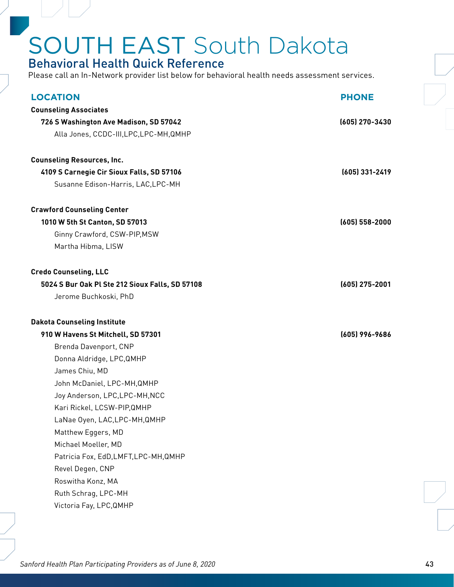#### Behavioral Health Quick Reference

Please call an In-Network provider list below for behavioral health needs assessment services.

| <b>LOCATION</b>                                 | <b>PHONE</b>     |
|-------------------------------------------------|------------------|
| <b>Counseling Associates</b>                    |                  |
| 726 S Washington Ave Madison, SD 57042          | (605) 270-3430   |
| Alla Jones, CCDC-III, LPC, LPC-MH, QMHP         |                  |
|                                                 |                  |
| <b>Counseling Resources, Inc.</b>               |                  |
| 4109 S Carnegie Cir Sioux Falls, SD 57106       | (605) 331-2419   |
| Susanne Edison-Harris, LAC, LPC-MH              |                  |
| <b>Crawford Counseling Center</b>               |                  |
| 1010 W 5th St Canton, SD 57013                  | $(605)$ 558-2000 |
| Ginny Crawford, CSW-PIP, MSW                    |                  |
| Martha Hibma, LISW                              |                  |
|                                                 |                  |
| <b>Credo Counseling, LLC</b>                    |                  |
| 5024 S Bur Oak Pl Ste 212 Sioux Falls, SD 57108 | $(605)$ 275-2001 |
| Jerome Buchkoski, PhD                           |                  |
|                                                 |                  |
| <b>Dakota Counseling Institute</b>              |                  |
| 910 W Havens St Mitchell, SD 57301              | (605) 996-9686   |
| Brenda Davenport, CNP                           |                  |
| Donna Aldridge, LPC, QMHP                       |                  |
| James Chiu, MD                                  |                  |
| John McDaniel, LPC-MH, QMHP                     |                  |
| Joy Anderson, LPC, LPC-MH, NCC                  |                  |
| Kari Rickel, LCSW-PIP, QMHP                     |                  |
| LaNae Oyen, LAC,LPC-MH,QMHP                     |                  |
| Matthew Eggers, MD                              |                  |
| Michael Moeller, MD                             |                  |
| Patricia Fox, EdD, LMFT, LPC-MH, QMHP           |                  |
| Revel Degen, CNP                                |                  |
| Roswitha Konz, MA                               |                  |
| Ruth Schrag, LPC-MH                             |                  |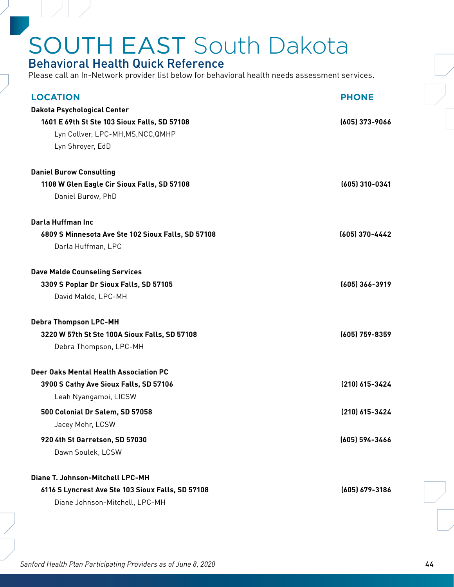#### Behavioral Health Quick Reference

Please call an In-Network provider list below for behavioral health needs assessment services.

| <b>LOCATION</b>                                    | <b>PHONE</b>       |
|----------------------------------------------------|--------------------|
| Dakota Psychological Center                        |                    |
| 1601 E 69th St Ste 103 Sioux Falls, SD 57108       | (605) 373-9066     |
| Lyn Collver, LPC-MH, MS, NCC, QMHP                 |                    |
| Lyn Shroyer, EdD                                   |                    |
| <b>Daniel Burow Consulting</b>                     |                    |
| 1108 W Glen Eagle Cir Sioux Falls, SD 57108        | (605) 310-0341     |
| Daniel Burow, PhD                                  |                    |
| Darla Huffman Inc                                  |                    |
| 6809 S Minnesota Ave Ste 102 Sioux Falls, SD 57108 | (605) 370-4442     |
| Darla Huffman, LPC                                 |                    |
| <b>Dave Malde Counseling Services</b>              |                    |
| 3309 S Poplar Dr Sioux Falls, SD 57105             | (605) 366-3919     |
| David Malde, LPC-MH                                |                    |
| <b>Debra Thompson LPC-MH</b>                       |                    |
| 3220 W 57th St Ste 100A Sioux Falls, SD 57108      | $(605)$ 759-8359   |
| Debra Thompson, LPC-MH                             |                    |
| Deer Oaks Mental Health Association PC             |                    |
| 3900 S Cathy Ave Sioux Falls, SD 57106             | (210) 615-3424     |
| Leah Nyangamoi, LICSW                              |                    |
| 500 Colonial Dr Salem, SD 57058                    | (210) 615-3424     |
| Jacey Mohr, LCSW                                   |                    |
| 920 4th St Garretson, SD 57030                     | (605) 594-3466     |
| Dawn Soulek, LCSW                                  |                    |
| Diane T. Johnson-Mitchell LPC-MH                   |                    |
| 6116 S Lyncrest Ave Ste 103 Sioux Falls, SD 57108  | $(605) 679 - 3186$ |
| Diane Johnson-Mitchell, LPC-MH                     |                    |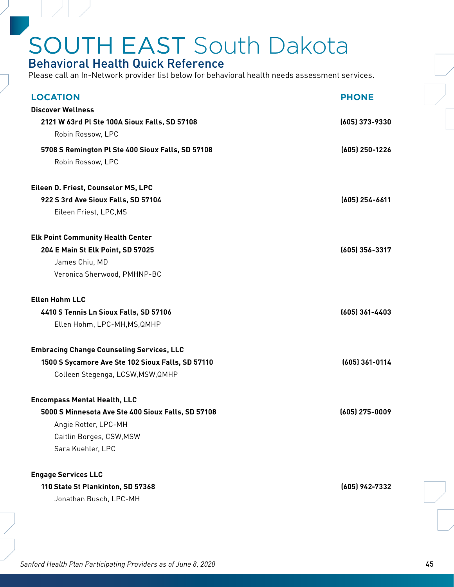#### Behavioral Health Quick Reference

| <b>LOCATION</b>                                    | <b>PHONE</b>     |
|----------------------------------------------------|------------------|
| <b>Discover Wellness</b>                           |                  |
| 2121 W 63rd Pl Ste 100A Sioux Falls, SD 57108      | $(605)$ 373-9330 |
| Robin Rossow, LPC                                  |                  |
| 5708 S Remington Pl Ste 400 Sioux Falls, SD 57108  | $(605)$ 250-1226 |
| Robin Rossow, LPC                                  |                  |
|                                                    |                  |
| Eileen D. Friest, Counselor MS, LPC                | $(605)$ 254-6611 |
| 922 S 3rd Ave Sioux Falls, SD 57104                |                  |
| Eileen Friest, LPC, MS                             |                  |
| <b>Elk Point Community Health Center</b>           |                  |
| 204 E Main St Elk Point, SD 57025                  | (605) 356-3317   |
| James Chiu, MD                                     |                  |
| Veronica Sherwood, PMHNP-BC                        |                  |
| <b>Ellen Hohm LLC</b>                              |                  |
| 4410 S Tennis Ln Sioux Falls, SD 57106             | $(605)$ 361-4403 |
| Ellen Hohm, LPC-MH, MS, QMHP                       |                  |
| <b>Embracing Change Counseling Services, LLC</b>   |                  |
| 1500 S Sycamore Ave Ste 102 Sioux Falls, SD 57110  | $(605)$ 361-0114 |
| Colleen Stegenga, LCSW, MSW, QMHP                  |                  |
| <b>Encompass Mental Health, LLC</b>                |                  |
| 5000 S Minnesota Ave Ste 400 Sioux Falls, SD 57108 | $(605)$ 275-0009 |
| Angie Rotter, LPC-MH                               |                  |
| Caitlin Borges, CSW, MSW                           |                  |
| Sara Kuehler, LPC                                  |                  |
|                                                    |                  |
| <b>Engage Services LLC</b>                         |                  |
| 110 State St Plankinton, SD 57368                  | (605) 942-7332   |
| Jonathan Busch, LPC-MH                             |                  |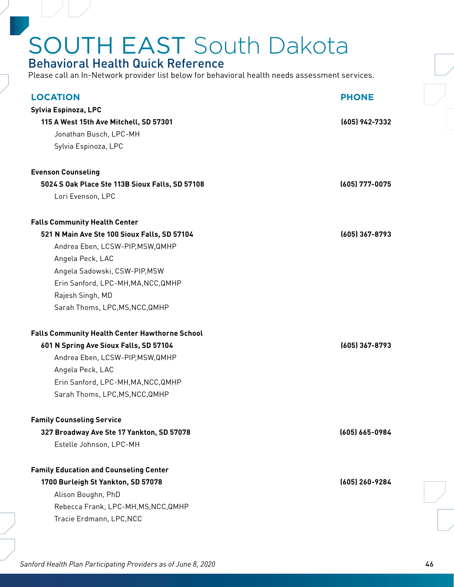#### Behavioral Health Quick Reference

Please call an In-Network provider list below for behavioral health needs assessment services.

| <b>LOCATION</b>                                       | <b>PHONE</b>     |
|-------------------------------------------------------|------------------|
| Sylvia Espinoza, LPC                                  |                  |
| 115 A West 15th Ave Mitchell, SD 57301                | (605) 942-7332   |
| Jonathan Busch, LPC-MH                                |                  |
| Sylvia Espinoza, LPC                                  |                  |
|                                                       |                  |
| <b>Evenson Counseling</b>                             |                  |
| 5024 S Oak Place Ste 113B Sioux Falls, SD 57108       | $(605)$ 777-0075 |
| Lori Evenson, LPC                                     |                  |
| <b>Falls Community Health Center</b>                  |                  |
| 521 N Main Ave Ste 100 Sioux Falls, SD 57104          | (605) 367-8793   |
| Andrea Eben, LCSW-PIP, MSW, QMHP                      |                  |
| Angela Peck, LAC                                      |                  |
| Angela Sadowski, CSW-PIP, MSW                         |                  |
| Erin Sanford, LPC-MH, MA, NCC, QMHP                   |                  |
| Rajesh Singh, MD                                      |                  |
| Sarah Thoms, LPC, MS, NCC, QMHP                       |                  |
| <b>Falls Community Health Center Hawthorne School</b> |                  |
| 601 N Spring Ave Sioux Falls, SD 57104                | (605) 367-8793   |
| Andrea Eben, LCSW-PIP, MSW, QMHP                      |                  |
| Angela Peck, LAC                                      |                  |
| Erin Sanford, LPC-MH, MA, NCC, QMHP                   |                  |
| Sarah Thoms, LPC, MS, NCC, QMHP                       |                  |
| <b>Family Counseling Service</b>                      |                  |
| 327 Broadway Ave Ste 17 Yankton, SD 57078             | (605) 665-0984   |
| Estelle Johnson, LPC-MH                               |                  |
| <b>Family Education and Counseling Center</b>         |                  |
| 1700 Burleigh St Yankton, SD 57078                    | (605) 260-9284   |
| Alison Boughn, PhD                                    |                  |
| Rebecca Frank, LPC-MH, MS, NCC, QMHP                  |                  |
| Tracie Erdmann, LPC, NCC                              |                  |
|                                                       |                  |
|                                                       |                  |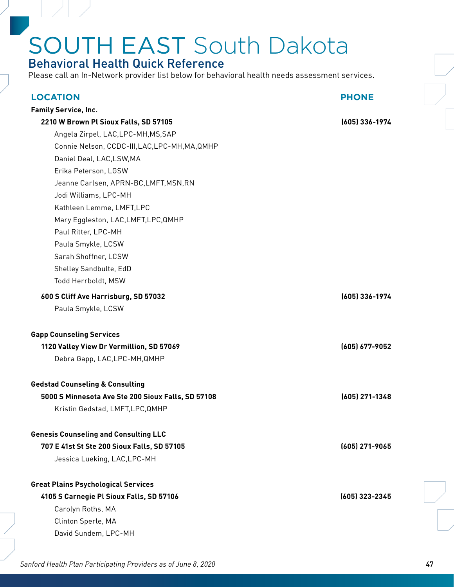### Behavioral Health Quick Reference

Please call an In-Network provider list below for behavioral health needs assessment services.

| <b>LOCATION</b>                                    | <b>PHONE</b>   |
|----------------------------------------------------|----------------|
| <b>Family Service, Inc.</b>                        |                |
| 2210 W Brown Pl Sioux Falls, SD 57105              | (605) 336-1974 |
| Angela Zirpel, LAC, LPC-MH, MS, SAP                |                |
| Connie Nelson, CCDC-III, LAC, LPC-MH, MA, QMHP     |                |
| Daniel Deal, LAC, LSW, MA                          |                |
| Erika Peterson, LGSW                               |                |
| Jeanne Carlsen, APRN-BC, LMFT, MSN, RN             |                |
| Jodi Williams, LPC-MH                              |                |
| Kathleen Lemme, LMFT, LPC                          |                |
| Mary Eggleston, LAC, LMFT, LPC, QMHP               |                |
| Paul Ritter, LPC-MH                                |                |
| Paula Smykle, LCSW                                 |                |
| Sarah Shoffner, LCSW                               |                |
| Shelley Sandbulte, EdD                             |                |
| Todd Herrboldt, MSW                                |                |
| 600 S Cliff Ave Harrisburg, SD 57032               | (605) 336-1974 |
| Paula Smykle, LCSW                                 |                |
| <b>Gapp Counseling Services</b>                    |                |
| 1120 Valley View Dr Vermillion, SD 57069           | (605) 677-9052 |
| Debra Gapp, LAC, LPC-MH, QMHP                      |                |
| <b>Gedstad Counseling &amp; Consulting</b>         |                |
| 5000 S Minnesota Ave Ste 200 Sioux Falls, SD 57108 | (605) 271-1348 |
| Kristin Gedstad, LMFT, LPC, QMHP                   |                |
| <b>Genesis Counseling and Consulting LLC</b>       |                |
| 707 E 41st St Ste 200 Sioux Falls, SD 57105        | (605) 271-9065 |
| Jessica Lueking, LAC, LPC-MH                       |                |
| <b>Great Plains Psychological Services</b>         |                |
| 4105 S Carnegie Pl Sioux Falls, SD 57106           | (605) 323-2345 |
| Carolyn Roths, MA                                  |                |
| Clinton Sperle, MA                                 |                |
| David Sundem, LPC-MH                               |                |
|                                                    |                |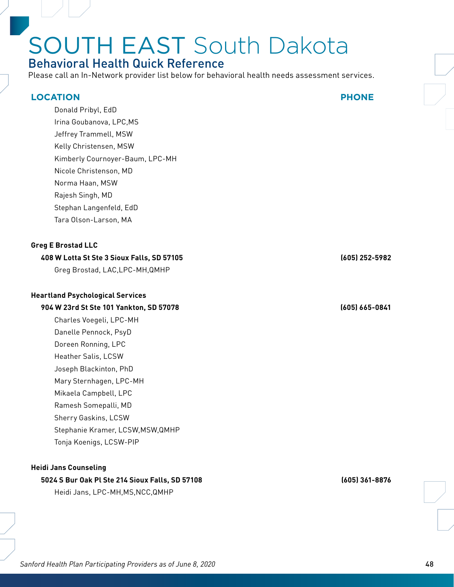### Behavioral Health Quick Reference

Please call an In-Network provider list below for behavioral health needs assessment services.

#### **LOCATION PHONE**

Donald Pribyl, EdD Irina Goubanova, LPC,MS Jeffrey Trammell, MSW Kelly Christensen, MSW Kimberly Cournoyer-Baum, LPC-MH Nicole Christenson, MD Norma Haan, MSW Rajesh Singh, MD Stephan Langenfeld, EdD Tara Olson-Larson, MA

#### **Greg E Brostad LLC**

#### **408 W Lotta St Ste 3 Sioux Falls, SD 57105 (605) 252-5982**

Greg Brostad, LAC,LPC-MH,QMHP

#### **Heartland Psychological Services**

#### **904 W 23rd St Ste 101 Yankton, SD 57078 (605) 665-0841**

Charles Voegeli, LPC-MH Danelle Pennock, PsyD Doreen Ronning, LPC Heather Salis, LCSW Joseph Blackinton, PhD Mary Sternhagen, LPC-MH Mikaela Campbell, LPC Ramesh Somepalli, MD Sherry Gaskins, LCSW Stephanie Kramer, LCSW,MSW,QMHP Tonja Koenigs, LCSW-PIP

#### **Heidi Jans Counseling**

#### **5024 S Bur Oak Pl Ste 214 Sioux Falls, SD 57108 (605) 361-8876**

Heidi Jans, LPC-MH,MS,NCC,QMHP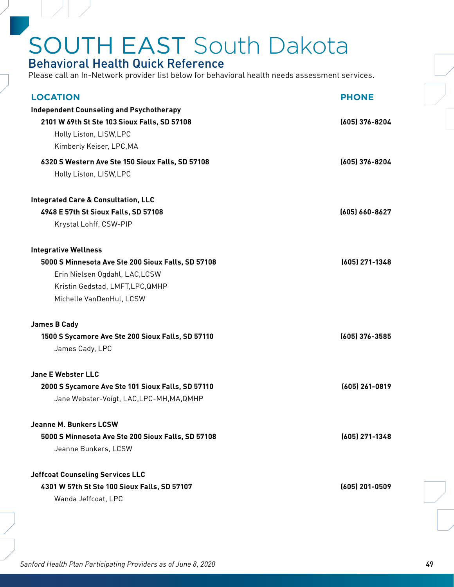#### Behavioral Health Quick Reference

Please call an In-Network provider list below for behavioral health needs assessment services.

| <b>LOCATION</b>                                    | <b>PHONE</b>     |
|----------------------------------------------------|------------------|
| <b>Independent Counseling and Psychotherapy</b>    |                  |
| 2101 W 69th St Ste 103 Sioux Falls, SD 57108       | (605) 376-8204   |
| Holly Liston, LISW, LPC                            |                  |
| Kimberly Keiser, LPC, MA                           |                  |
| 6320 S Western Ave Ste 150 Sioux Falls, SD 57108   | (605) 376-8204   |
| Holly Liston, LISW, LPC                            |                  |
| <b>Integrated Care &amp; Consultation, LLC</b>     |                  |
| 4948 E 57th St Sioux Falls, SD 57108               | (605) 660-8627   |
| Krystal Lohff, CSW-PIP                             |                  |
| <b>Integrative Wellness</b>                        |                  |
| 5000 S Minnesota Ave Ste 200 Sioux Falls, SD 57108 | (605) 271-1348   |
| Erin Nielsen Ogdahl, LAC, LCSW                     |                  |
| Kristin Gedstad, LMFT, LPC, QMHP                   |                  |
| Michelle VanDenHul, LCSW                           |                  |
| <b>James B Cady</b>                                |                  |
| 1500 S Sycamore Ave Ste 200 Sioux Falls, SD 57110  | $(605)$ 376-3585 |
|                                                    |                  |
| James Cady, LPC                                    |                  |
| <b>Jane E Webster LLC</b>                          |                  |
| 2000 S Sycamore Ave Ste 101 Sioux Falls, SD 57110  | $(605)$ 261-0819 |
| Jane Webster-Voigt, LAC, LPC-MH, MA, QMHP          |                  |
| <b>Jeanne M. Bunkers LCSW</b>                      |                  |
| 5000 S Minnesota Ave Ste 200 Sioux Falls, SD 57108 | $(605)$ 271-1348 |
| Jeanne Bunkers, LCSW                               |                  |
| <b>Jeffcoat Counseling Services LLC</b>            |                  |
| 4301 W 57th St Ste 100 Sioux Falls, SD 57107       | (605) 201-0509   |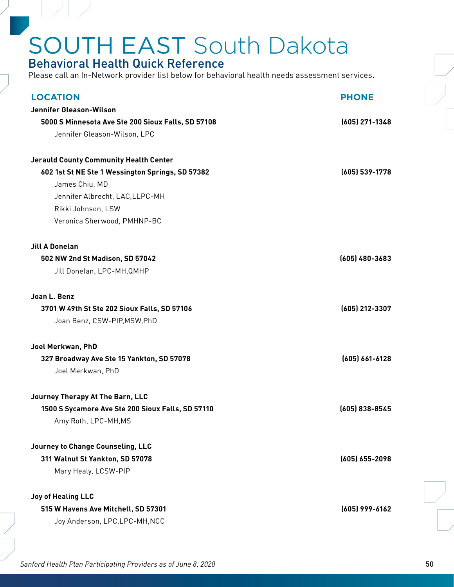#### Behavioral Health Quick Reference

Please call an In-Network provider list below for behavioral health needs assessment services.

| <b>LOCATION</b>                                    | <b>PHONE</b>       |
|----------------------------------------------------|--------------------|
| Jennifer Gleason-Wilson                            |                    |
| 5000 S Minnesota Ave Ste 200 Sioux Falls, SD 57108 | $(605)$ 271-1348   |
| Jennifer Gleason-Wilson, LPC                       |                    |
|                                                    |                    |
| <b>Jerauld County Community Health Center</b>      |                    |
| 602 1st St NE Ste 1 Wessington Springs, SD 57382   | (605) 539-1778     |
| James Chiu, MD                                     |                    |
| Jennifer Albrecht, LAC, LLPC-MH                    |                    |
| Rikki Johnson, LSW                                 |                    |
| Veronica Sherwood, PMHNP-BC                        |                    |
| <b>Jill A Donelan</b>                              |                    |
| 502 NW 2nd St Madison, SD 57042                    | (605) 480-3683     |
| Jill Donelan, LPC-MH, QMHP                         |                    |
| Joan L. Benz                                       |                    |
| 3701 W 49th St Ste 202 Sioux Falls, SD 57106       | (605) 212-3307     |
| Joan Benz, CSW-PIP, MSW, PhD                       |                    |
|                                                    |                    |
| Joel Merkwan, PhD                                  |                    |
| 327 Broadway Ave Ste 15 Yankton, SD 57078          | $(605) 661 - 6128$ |
| Joel Merkwan, PhD                                  |                    |
| Journey Therapy At The Barn, LLC                   |                    |
| 1500 S Sycamore Ave Ste 200 Sioux Falls, SD 57110  | (605) 838-8545     |
| Amy Roth, LPC-MH, MS                               |                    |
| Journey to Change Counseling, LLC                  |                    |
| 311 Walnut St Yankton, SD 57078                    | (605) 655-2098     |
| Mary Healy, LCSW-PIP                               |                    |
|                                                    |                    |
| <b>Joy of Healing LLC</b>                          |                    |
| 515 W Havens Ave Mitchell, SD 57301                | (605) 999-6162     |
| Joy Anderson, LPC, LPC-MH, NCC                     |                    |
|                                                    |                    |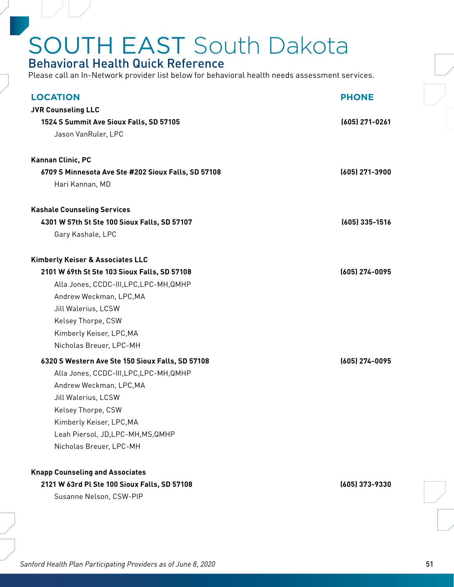#### Behavioral Health Quick Reference

| <b>LOCATION</b>                                     | <b>PHONE</b>     |
|-----------------------------------------------------|------------------|
| <b>JVR Counseling LLC</b>                           |                  |
| 1524 S Summit Ave Sioux Falls, SD 57105             | (605) 271-0261   |
| Jason VanRuler, LPC                                 |                  |
|                                                     |                  |
| Kannan Clinic, PC                                   |                  |
| 6709 S Minnesota Ave Ste #202 Sioux Falls, SD 57108 | (605) 271-3900   |
| Hari Kannan, MD                                     |                  |
| <b>Kashale Counseling Services</b>                  |                  |
| 4301 W 57th St Ste 100 Sioux Falls, SD 57107        | $(605)$ 335-1516 |
| Gary Kashale, LPC                                   |                  |
| Kimberly Keiser & Associates LLC                    |                  |
| 2101 W 69th St Ste 103 Sioux Falls, SD 57108        | (605) 274-0095   |
| Alla Jones, CCDC-III, LPC, LPC-MH, QMHP             |                  |
| Andrew Weckman, LPC, MA                             |                  |
| Jill Walerius, LCSW                                 |                  |
| Kelsey Thorpe, CSW                                  |                  |
| Kimberly Keiser, LPC, MA                            |                  |
| Nicholas Breuer, LPC-MH                             |                  |
| 6320 S Western Ave Ste 150 Sioux Falls, SD 57108    | (605) 274-0095   |
| Alla Jones, CCDC-III, LPC, LPC-MH, QMHP             |                  |
| Andrew Weckman, LPC, MA                             |                  |
| Jill Walerius, LCSW                                 |                  |
| Kelsey Thorpe, CSW                                  |                  |
| Kimberly Keiser, LPC, MA                            |                  |
| Leah Piersol, JD, LPC-MH, MS, QMHP                  |                  |
| Nicholas Breuer, LPC-MH                             |                  |
| <b>Knapp Counseling and Associates</b>              |                  |
| 2121 W 63rd Pl Ste 100 Sioux Falls, SD 57108        | (605) 373-9330   |
| Susanne Nelson, CSW-PIP                             |                  |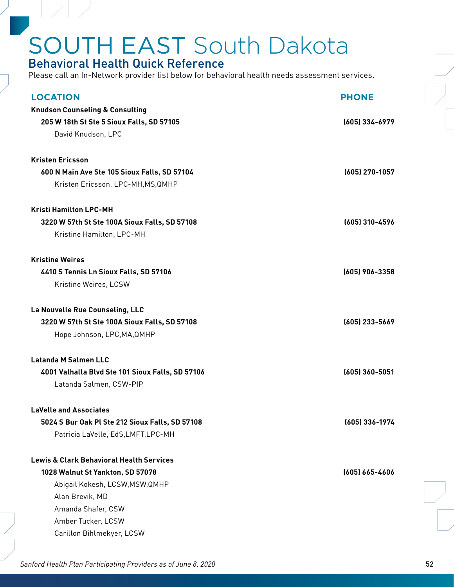#### Behavioral Health Quick Reference

Please call an In-Network provider list below for behavioral health needs assessment services.

| <b>LOCATION</b>                                     | <b>PHONE</b>       |
|-----------------------------------------------------|--------------------|
| <b>Knudson Counseling &amp; Consulting</b>          |                    |
| 205 W 18th St Ste 5 Sioux Falls, SD 57105           | (605) 334-6979     |
| David Knudson, LPC                                  |                    |
| <b>Kristen Ericsson</b>                             |                    |
| 600 N Main Ave Ste 105 Sioux Falls, SD 57104        | (605) 270-1057     |
| Kristen Ericsson, LPC-MH, MS, QMHP                  |                    |
| <b>Kristi Hamilton LPC-MH</b>                       |                    |
| 3220 W 57th St Ste 100A Sioux Falls, SD 57108       | (605) 310-4596     |
| Kristine Hamilton, LPC-MH                           |                    |
| <b>Kristine Weires</b>                              |                    |
| 4410 S Tennis Ln Sioux Falls, SD 57106              | (605) 906-3358     |
| Kristine Weires, LCSW                               |                    |
| La Nouvelle Rue Counseling, LLC                     |                    |
| 3220 W 57th St Ste 100A Sioux Falls, SD 57108       | (605) 233-5669     |
| Hope Johnson, LPC, MA, QMHP                         |                    |
| <b>Latanda M Salmen LLC</b>                         |                    |
| 4001 Valhalla Blvd Ste 101 Sioux Falls, SD 57106    | $(605)$ 360-5051   |
| Latanda Salmen, CSW-PIP                             |                    |
| <b>LaVelle and Associates</b>                       |                    |
| 5024 S Bur Oak Pl Ste 212 Sioux Falls, SD 57108     | (605) 336-1974     |
| Patricia LaVelle, EdS, LMFT, LPC-MH                 |                    |
| <b>Lewis &amp; Clark Behavioral Health Services</b> |                    |
| 1028 Walnut St Yankton, SD 57078                    | $(605) 665 - 4606$ |
| Abigail Kokesh, LCSW, MSW, QMHP                     |                    |
| Alan Brevik, MD                                     |                    |
| Amanda Shafer, CSW                                  |                    |
| Amber Tucker, LCSW                                  |                    |
| Carillon Bihlmekyer, LCSW                           |                    |
|                                                     |                    |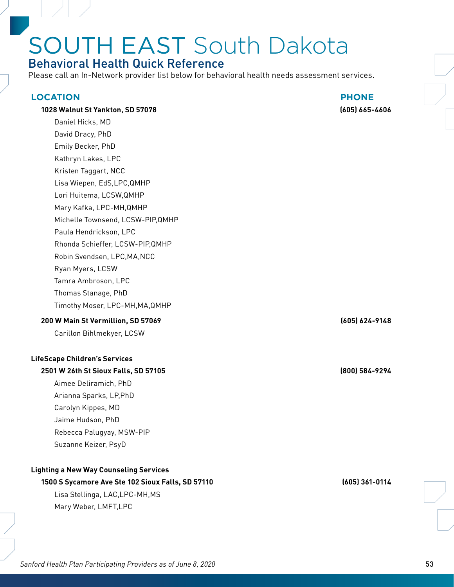### Behavioral Health Quick Reference

Please call an In-Network provider list below for behavioral health needs assessment services.

#### **LOCATION PHONE**

#### **1028 Walnut St Yankton, SD 57078 (605) 665-4606**

Daniel Hicks, MD David Dracy, PhD Emily Becker, PhD Kathryn Lakes, LPC Kristen Taggart, NCC Lisa Wiepen, EdS,LPC,QMHP Lori Huitema, LCSW,QMHP Mary Kafka, LPC-MH,QMHP Michelle Townsend, LCSW-PIP,QMHP Paula Hendrickson, LPC Rhonda Schieffer, LCSW-PIP,QMHP Robin Svendsen, LPC,MA,NCC Ryan Myers, LCSW Tamra Ambroson, LPC Thomas Stanage, PhD Timothy Moser, LPC-MH,MA,QMHP

#### **200 W Main St Vermillion, SD 57069 (605) 624-9148**

Carillon Bihlmekyer, LCSW

#### **LifeScape Children's Services**

#### **2501 W 26th St Sioux Falls, SD 57105 (800) 584-9294**

Aimee Deliramich, PhD Arianna Sparks, LP,PhD Carolyn Kippes, MD Jaime Hudson, PhD Rebecca Palugyay, MSW-PIP Suzanne Keizer, PsyD

#### **Lighting a New Way Counseling Services**

### **1500 S Sycamore Ave Ste 102 Sioux Falls, SD 57110 (605) 361-0114**

Lisa Stellinga, LAC,LPC-MH,MS Mary Weber, LMFT,LPC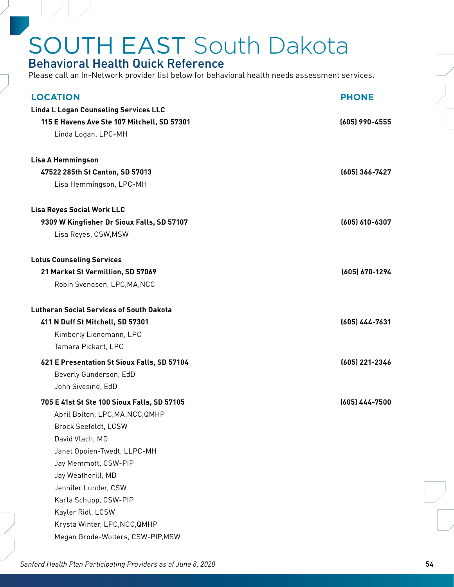#### Behavioral Health Quick Reference

| <b>LOCATION</b>                                 | <b>PHONE</b>   |
|-------------------------------------------------|----------------|
| <b>Linda L Logan Counseling Services LLC</b>    |                |
| 115 E Havens Ave Ste 107 Mitchell, SD 57301     | (605) 990-4555 |
| Linda Logan, LPC-MH                             |                |
|                                                 |                |
| <b>Lisa A Hemmingson</b>                        |                |
| 47522 285th St Canton, SD 57013                 | (605) 366-7427 |
| Lisa Hemmingson, LPC-MH                         |                |
| <b>Lisa Reyes Social Work LLC</b>               |                |
| 9309 W Kingfisher Dr Sioux Falls, SD 57107      | (605) 610-6307 |
| Lisa Reyes, CSW, MSW                            |                |
|                                                 |                |
| <b>Lotus Counseling Services</b>                |                |
| 21 Market St Vermillion, SD 57069               | (605) 670-1294 |
| Robin Svendsen, LPC, MA, NCC                    |                |
| <b>Lutheran Social Services of South Dakota</b> |                |
| 411 N Duff St Mitchell, SD 57301                | (605) 444-7631 |
| Kimberly Lienemann, LPC                         |                |
| Tamara Pickart, LPC                             |                |
| 621 E Presentation St Sioux Falls, SD 57104     | (605) 221-2346 |
| Beverly Gunderson, EdD                          |                |
| John Sivesind, EdD                              |                |
| 705 E 41st St Ste 100 Sioux Falls, SD 57105     | (605) 444-7500 |
| April Bolton, LPC, MA, NCC, QMHP                |                |
| Brock Seefeldt, LCSW                            |                |
| David Vlach, MD                                 |                |
| Janet Opoien-Twedt, LLPC-MH                     |                |
| Jay Memmott, CSW-PIP                            |                |
| Jay Weatherill, MD                              |                |
| Jennifer Lunder, CSW                            |                |
| Karla Schupp, CSW-PIP                           |                |
| Kayler Ridl, LCSW                               |                |
| Krysta Winter, LPC, NCC, QMHP                   |                |
| Megan Grode-Wolters, CSW-PIP, MSW               |                |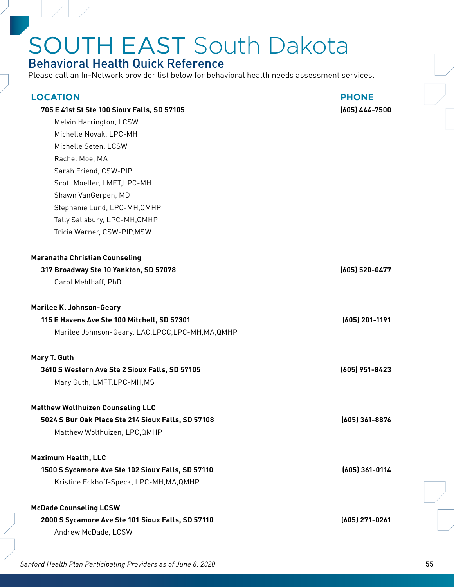### Behavioral Health Quick Reference

Please call an In-Network provider list below for behavioral health needs assessment services.

| <b>LOCATION</b><br>705 E 41st St Ste 100 Sioux Falls, SD 57105<br>Melvin Harrington, LCSW<br>Michelle Novak, LPC-MH<br>Michelle Seten, LCSW<br>Rachel Moe, MA<br>Sarah Friend, CSW-PIP<br>Scott Moeller, LMFT, LPC-MH<br>Shawn VanGerpen, MD<br>Stephanie Lund, LPC-MH, QMHP<br>Tally Salisbury, LPC-MH, QMHP<br>Tricia Warner, CSW-PIP, MSW | <b>PHONE</b><br>(605) 444-7500 |
|----------------------------------------------------------------------------------------------------------------------------------------------------------------------------------------------------------------------------------------------------------------------------------------------------------------------------------------------|--------------------------------|
| <b>Maranatha Christian Counseling</b><br>317 Broadway Ste 10 Yankton, SD 57078<br>Carol Mehlhaff, PhD                                                                                                                                                                                                                                        | (605) 520-0477                 |
| <b>Marilee K. Johnson-Geary</b><br>115 E Havens Ave Ste 100 Mitchell, SD 57301<br>Marilee Johnson-Geary, LAC, LPCC, LPC-MH, MA, QMHP                                                                                                                                                                                                         | (605) 201-1191                 |
| Mary T. Guth<br>3610 S Western Ave Ste 2 Sioux Falls, SD 57105<br>Mary Guth, LMFT, LPC-MH, MS                                                                                                                                                                                                                                                | (605) 951-8423                 |
| <b>Matthew Wolthuizen Counseling LLC</b><br>5024 S Bur Oak Place Ste 214 Sioux Falls, SD 57108<br>Matthew Wolthuizen, LPC, QMHP                                                                                                                                                                                                              | (605) 361-8876                 |
| <b>Maximum Health, LLC</b><br>1500 S Sycamore Ave Ste 102 Sioux Falls, SD 57110<br>Kristine Eckhoff-Speck, LPC-MH, MA, QMHP                                                                                                                                                                                                                  | $(605)$ 361-0114               |
| <b>McDade Counseling LCSW</b><br>2000 S Sycamore Ave Ste 101 Sioux Falls, SD 57110<br>Andrew McDade, LCSW                                                                                                                                                                                                                                    | (605) 271-0261                 |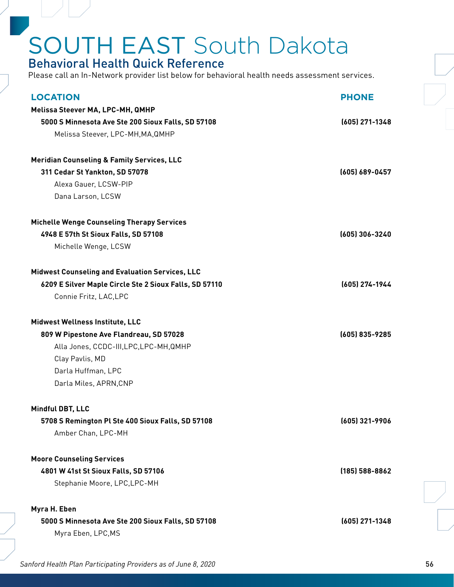### Behavioral Health Quick Reference

| <b>LOCATION</b>                                        | <b>PHONE</b>       |
|--------------------------------------------------------|--------------------|
| Melissa Steever MA, LPC-MH, QMHP                       |                    |
| 5000 S Minnesota Ave Ste 200 Sioux Falls, SD 57108     | $(605)$ 271-1348   |
| Melissa Steever, LPC-MH, MA, QMHP                      |                    |
| <b>Meridian Counseling &amp; Family Services, LLC</b>  |                    |
| 311 Cedar St Yankton, SD 57078                         | (605) 689-0457     |
| Alexa Gauer, LCSW-PIP                                  |                    |
| Dana Larson, LCSW                                      |                    |
| <b>Michelle Wenge Counseling Therapy Services</b>      |                    |
| 4948 E 57th St Sioux Falls, SD 57108                   | (605) 306-3240     |
| Michelle Wenge, LCSW                                   |                    |
| <b>Midwest Counseling and Evaluation Services, LLC</b> |                    |
| 6209 E Silver Maple Circle Ste 2 Sioux Falls, SD 57110 | (605) 274-1944     |
| Connie Fritz, LAC, LPC                                 |                    |
| Midwest Wellness Institute, LLC                        |                    |
| 809 W Pipestone Ave Flandreau, SD 57028                | (605) 835-9285     |
| Alla Jones, CCDC-III, LPC, LPC-MH, QMHP                |                    |
| Clay Pavlis, MD                                        |                    |
| Darla Huffman, LPC                                     |                    |
| Darla Miles, APRN, CNP                                 |                    |
| Mindful DBT, LLC                                       |                    |
| 5708 S Remington Pl Ste 400 Sioux Falls, SD 57108      | (605) 321-9906     |
| Amber Chan, LPC-MH                                     |                    |
| <b>Moore Counseling Services</b>                       |                    |
| 4801 W 41st St Sioux Falls, SD 57106                   | $(185) 588 - 8862$ |
| Stephanie Moore, LPC, LPC-MH                           |                    |
| Myra H. Eben                                           |                    |
| 5000 S Minnesota Ave Ste 200 Sioux Falls, SD 57108     | (605) 271-1348     |
| Myra Eben, LPC, MS                                     |                    |
|                                                        |                    |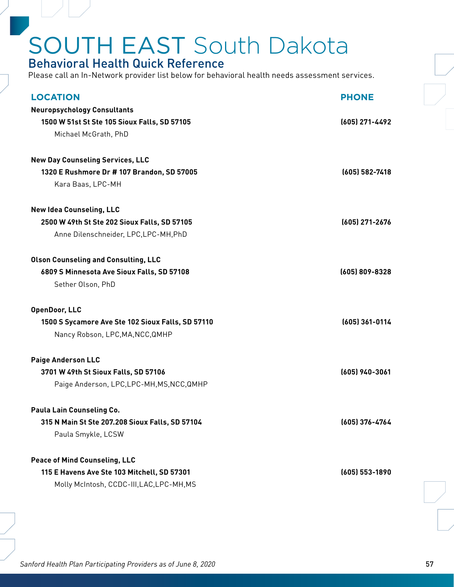#### Behavioral Health Quick Reference

| <b>LOCATION</b>                                                                     | <b>PHONE</b>   |
|-------------------------------------------------------------------------------------|----------------|
| <b>Neuropsychology Consultants</b>                                                  |                |
| 1500 W 51st St Ste 105 Sioux Falls, SD 57105                                        | (605) 271-4492 |
| Michael McGrath, PhD                                                                |                |
| <b>New Day Counseling Services, LLC</b>                                             |                |
| 1320 E Rushmore Dr # 107 Brandon, SD 57005                                          | (605) 582-7418 |
| Kara Baas, LPC-MH                                                                   |                |
| <b>New Idea Counseling, LLC</b>                                                     |                |
| 2500 W 49th St Ste 202 Sioux Falls, SD 57105                                        | (605) 271-2676 |
| Anne Dilenschneider, LPC, LPC-MH, PhD                                               |                |
| <b>Olson Counseling and Consulting, LLC</b>                                         |                |
| 6809 S Minnesota Ave Sioux Falls, SD 57108                                          | (605) 809-8328 |
| Sether Olson, PhD                                                                   |                |
| <b>OpenDoor, LLC</b>                                                                |                |
|                                                                                     |                |
| 1500 S Sycamore Ave Ste 102 Sioux Falls, SD 57110                                   | (605) 361-0114 |
| Nancy Robson, LPC, MA, NCC, QMHP                                                    |                |
|                                                                                     |                |
| <b>Paige Anderson LLC</b>                                                           | (605) 940-3061 |
| 3701 W 49th St Sioux Falls, SD 57106<br>Paige Anderson, LPC, LPC-MH, MS, NCC, QMHP  |                |
|                                                                                     |                |
| <b>Paula Lain Counseling Co.</b>                                                    |                |
| 315 N Main St Ste 207.208 Sioux Falls, SD 57104<br>Paula Smykle, LCSW               | (605) 376-4764 |
|                                                                                     |                |
| <b>Peace of Mind Counseling, LLC</b><br>115 E Havens Ave Ste 103 Mitchell, SD 57301 | (605) 553-1890 |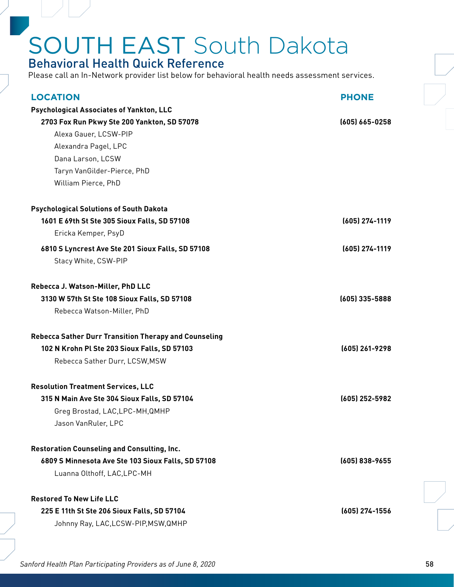#### Behavioral Health Quick Reference

| <b>LOCATION</b>                                              | <b>PHONE</b>       |
|--------------------------------------------------------------|--------------------|
| <b>Psychological Associates of Yankton, LLC</b>              |                    |
| 2703 Fox Run Pkwy Ste 200 Yankton, SD 57078                  | $(605) 665 - 0258$ |
| Alexa Gauer, LCSW-PIP                                        |                    |
| Alexandra Pagel, LPC                                         |                    |
| Dana Larson, LCSW                                            |                    |
| Taryn VanGilder-Pierce, PhD                                  |                    |
| William Pierce, PhD                                          |                    |
| <b>Psychological Solutions of South Dakota</b>               |                    |
| 1601 E 69th St Ste 305 Sioux Falls, SD 57108                 | (605) 274-1119     |
| Ericka Kemper, PsyD                                          |                    |
| 6810 S Lyncrest Ave Ste 201 Sioux Falls, SD 57108            | (605) 274-1119     |
| Stacy White, CSW-PIP                                         |                    |
| Rebecca J. Watson-Miller, PhD LLC                            |                    |
| 3130 W 57th St Ste 108 Sioux Falls, SD 57108                 | (605) 335-5888     |
| Rebecca Watson-Miller, PhD                                   |                    |
|                                                              |                    |
| <b>Rebecca Sather Durr Transition Therapy and Counseling</b> |                    |
| 102 N Krohn Pl Ste 203 Sioux Falls, SD 57103                 | (605) 261-9298     |
| Rebecca Sather Durr, LCSW, MSW                               |                    |
| <b>Resolution Treatment Services, LLC</b>                    |                    |
| 315 N Main Ave Ste 304 Sioux Falls, SD 57104                 | (605) 252-5982     |
| Greg Brostad, LAC, LPC-MH, QMHP                              |                    |
|                                                              |                    |
| Jason VanRuler, LPC                                          |                    |
| <b>Restoration Counseling and Consulting, Inc.</b>           |                    |
| 6809 S Minnesota Ave Ste 103 Sioux Falls, SD 57108           | (605) 838-9655     |
|                                                              |                    |
| Luanna Olthoff, LAC, LPC-MH                                  |                    |
| <b>Restored To New Life LLC</b>                              |                    |
| 225 E 11th St Ste 206 Sioux Falls, SD 57104                  | (605) 274-1556     |
| Johnny Ray, LAC, LCSW-PIP, MSW, QMHP                         |                    |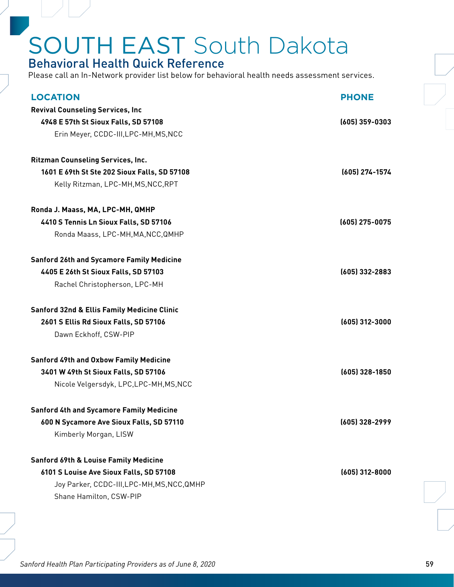### Behavioral Health Quick Reference

Please call an In-Network provider list below for behavioral health needs assessment services.

| <b>LOCATION</b>                                        | <b>PHONE</b>     |
|--------------------------------------------------------|------------------|
| <b>Revival Counseling Services, Inc</b>                |                  |
| 4948 E 57th St Sioux Falls, SD 57108                   | $(605)$ 359-0303 |
| Erin Meyer, CCDC-III, LPC-MH, MS, NCC                  |                  |
| <b>Ritzman Counseling Services, Inc.</b>               |                  |
| 1601 E 69th St Ste 202 Sioux Falls, SD 57108           | (605) 274-1574   |
| Kelly Ritzman, LPC-MH, MS, NCC, RPT                    |                  |
| Ronda J. Maass, MA, LPC-MH, QMHP                       |                  |
| 4410 S Tennis Ln Sioux Falls, SD 57106                 | $(605)$ 275-0075 |
| Ronda Maass, LPC-MH, MA, NCC, QMHP                     |                  |
| <b>Sanford 26th and Sycamore Family Medicine</b>       |                  |
| 4405 E 26th St Sioux Falls, SD 57103                   | (605) 332-2883   |
| Rachel Christopherson, LPC-MH                          |                  |
| <b>Sanford 32nd &amp; Ellis Family Medicine Clinic</b> |                  |
| 2601 S Ellis Rd Sioux Falls, SD 57106                  | (605) 312-3000   |
| Dawn Eckhoff, CSW-PIP                                  |                  |
| <b>Sanford 49th and Oxbow Family Medicine</b>          |                  |
| 3401 W 49th St Sioux Falls, SD 57106                   | $(605)$ 328-1850 |
| Nicole Velgersdyk, LPC, LPC-MH, MS, NCC                |                  |
| <b>Sanford 4th and Sycamore Family Medicine</b>        |                  |
| 600 N Sycamore Ave Sioux Falls, SD 57110               | (605) 328-2999   |
| Kimberly Morgan, LISW                                  |                  |
| <b>Sanford 69th &amp; Louise Family Medicine</b>       |                  |
| 6101 S Louise Ave Sioux Falls, SD 57108                | $(605)$ 312-8000 |
| Joy Parker, CCDC-III, LPC-MH, MS, NCC, QMHP            |                  |
| Shane Hamilton, CSW-PIP                                |                  |
|                                                        |                  |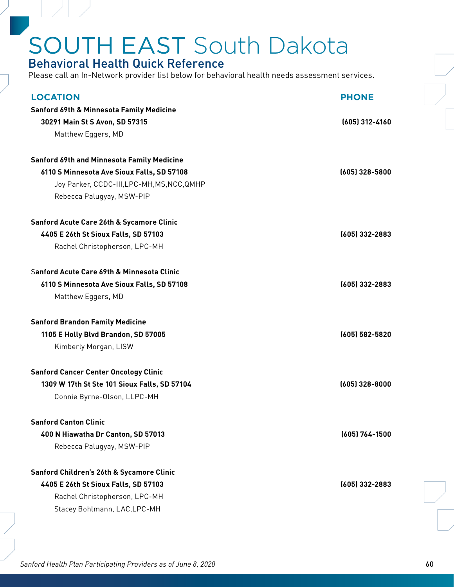### Behavioral Health Quick Reference

Please call an In-Network provider list below for behavioral health needs assessment services.

| <b>LOCATION</b>                                                             | <b>PHONE</b>       |
|-----------------------------------------------------------------------------|--------------------|
| <b>Sanford 69th &amp; Minnesota Family Medicine</b>                         |                    |
| 30291 Main St S Avon, SD 57315                                              | $(605)$ 312-4160   |
| Matthew Eggers, MD                                                          |                    |
|                                                                             |                    |
| Sanford 69th and Minnesota Family Medicine                                  |                    |
| 6110 S Minnesota Ave Sioux Falls, SD 57108                                  | (605) 328-5800     |
| Joy Parker, CCDC-III, LPC-MH, MS, NCC, QMHP                                 |                    |
| Rebecca Palugyay, MSW-PIP                                                   |                    |
| <b>Sanford Acute Care 26th &amp; Sycamore Clinic</b>                        |                    |
| 4405 E 26th St Sioux Falls, SD 57103                                        | (605) 332-2883     |
| Rachel Christopherson, LPC-MH                                               |                    |
|                                                                             |                    |
| Sanford Acute Care 69th & Minnesota Clinic                                  |                    |
| 6110 S Minnesota Ave Sioux Falls, SD 57108                                  | $(605)$ 332-2883   |
| Matthew Eggers, MD                                                          |                    |
| <b>Sanford Brandon Family Medicine</b>                                      |                    |
| 1105 E Holly Blvd Brandon, SD 57005                                         | $(605) 582 - 5820$ |
| Kimberly Morgan, LISW                                                       |                    |
| <b>Sanford Cancer Center Oncology Clinic</b>                                |                    |
|                                                                             |                    |
|                                                                             |                    |
| 1309 W 17th St Ste 101 Sioux Falls, SD 57104<br>Connie Byrne-Olson, LLPC-MH | $(605)$ 328-8000   |
|                                                                             |                    |
| <b>Sanford Canton Clinic</b>                                                |                    |
| 400 N Hiawatha Dr Canton, SD 57013                                          | (605) 764-1500     |
| Rebecca Palugyay, MSW-PIP                                                   |                    |
| Sanford Children's 26th & Sycamore Clinic                                   |                    |
| 4405 E 26th St Sioux Falls, SD 57103                                        | (605) 332-2883     |
|                                                                             |                    |
| Rachel Christopherson, LPC-MH<br>Stacey Bohlmann, LAC, LPC-MH               |                    |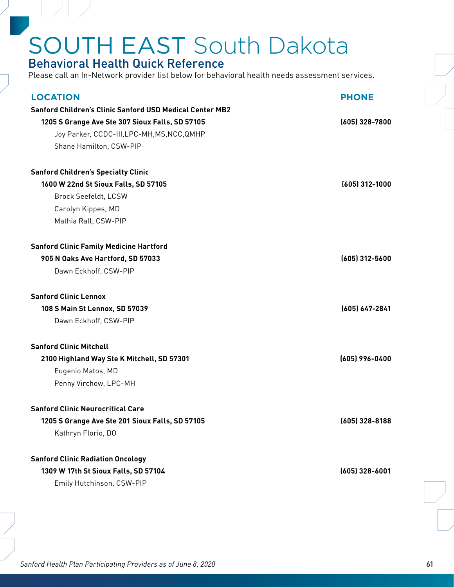### Behavioral Health Quick Reference

| <b>LOCATION</b>                                                 | <b>PHONE</b>     |
|-----------------------------------------------------------------|------------------|
| <b>Sanford Children's Clinic Sanford USD Medical Center MB2</b> |                  |
| 1205 S Grange Ave Ste 307 Sioux Falls, SD 57105                 | $(605)$ 328-7800 |
| Joy Parker, CCDC-III, LPC-MH, MS, NCC, QMHP                     |                  |
| Shane Hamilton, CSW-PIP                                         |                  |
| <b>Sanford Children's Specialty Clinic</b>                      |                  |
| 1600 W 22nd St Sioux Falls, SD 57105                            | $(605)$ 312-1000 |
| Brock Seefeldt, LCSW                                            |                  |
| Carolyn Kippes, MD                                              |                  |
| Mathia Rall, CSW-PIP                                            |                  |
| <b>Sanford Clinic Family Medicine Hartford</b>                  |                  |
| 905 N Oaks Ave Hartford, SD 57033                               | (605) 312-5600   |
| Dawn Eckhoff, CSW-PIP                                           |                  |
| <b>Sanford Clinic Lennox</b>                                    |                  |
| 108 S Main St Lennox, SD 57039                                  | (605) 647-2841   |
| Dawn Eckhoff, CSW-PIP                                           |                  |
| <b>Sanford Clinic Mitchell</b>                                  |                  |
| 2100 Highland Way Ste K Mitchell, SD 57301                      | (605) 996-0400   |
| Eugenio Matos, MD                                               |                  |
| Penny Virchow, LPC-MH                                           |                  |
| <b>Sanford Clinic Neurocritical Care</b>                        |                  |
| 1205 S Grange Ave Ste 201 Sioux Falls, SD 57105                 | $(605)$ 328-8188 |
| Kathryn Florio, DO                                              |                  |
| <b>Sanford Clinic Radiation Oncology</b>                        |                  |
| 1309 W 17th St Sioux Falls, SD 57104                            | $(605)$ 328-6001 |
| Emily Hutchinson, CSW-PIP                                       |                  |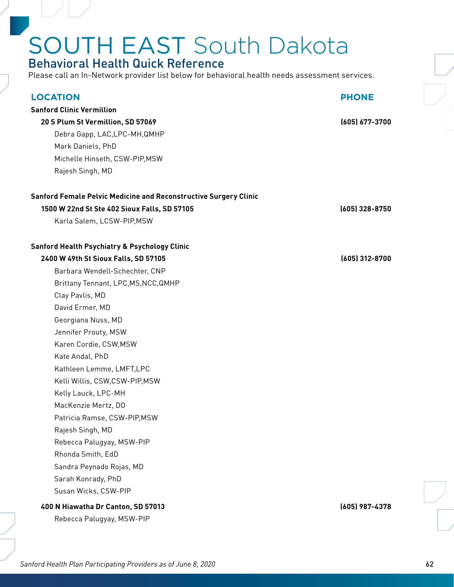### Behavioral Health Quick Reference

Please call an In-Network provider list below for behavioral health needs assessment services.

| <b>LOCATION</b>                                                         | <b>PHONE</b>   |
|-------------------------------------------------------------------------|----------------|
| <b>Sanford Clinic Vermillion</b>                                        |                |
| 20 S Plum St Vermillion, SD 57069                                       | (605) 677-3700 |
| Debra Gapp, LAC, LPC-MH, QMHP                                           |                |
| Mark Daniels, PhD                                                       |                |
| Michelle Hinseth, CSW-PIP, MSW                                          |                |
| Rajesh Singh, MD                                                        |                |
| <b>Sanford Female Pelvic Medicine and Reconstructive Surgery Clinic</b> |                |
| 1500 W 22nd St Ste 402 Sioux Falls, SD 57105                            | (605) 328-8750 |
| Karla Salem, LCSW-PIP, MSW                                              |                |
| <b>Sanford Health Psychiatry &amp; Psychology Clinic</b>                |                |
| 2400 W 49th St Sioux Falls, SD 57105                                    | (605) 312-8700 |
| Barbara Wendell-Schechter, CNP                                          |                |
| Brittany Tennant, LPC, MS, NCC, QMHP                                    |                |
| Clay Pavlis, MD                                                         |                |
| David Ermer, MD                                                         |                |
| Georgiana Nuss, MD                                                      |                |
| Jennifer Prouty, MSW                                                    |                |
| Karen Cordie, CSW, MSW                                                  |                |
| Kate Andal, PhD                                                         |                |
| Kathleen Lemme, LMFT, LPC                                               |                |
| Kelli Willis, CSW,CSW-PIP,MSW                                           |                |
| Kelly Lauck, LPC-MH                                                     |                |
| MacKenzie Mertz, DO                                                     |                |
| Patricia Ramse, CSW-PIP, MSW                                            |                |
| Rajesh Singh, MD                                                        |                |
| Rebecca Palugyay, MSW-PIP                                               |                |
| Rhonda Smith, EdD                                                       |                |
| Sandra Peynado Rojas, MD                                                |                |
| Sarah Konrady, PhD                                                      |                |
| Susan Wicks, CSW-PIP                                                    |                |
| 400 N Hiawatha Dr Canton, SD 57013                                      | (605) 987-4378 |

Rebecca Palugyay, MSW-PIP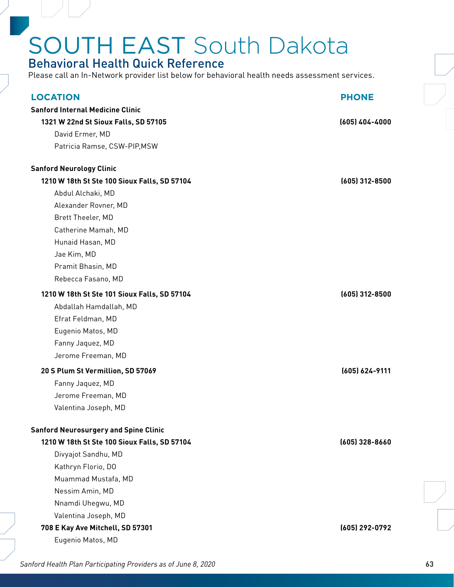### Behavioral Health Quick Reference

Please call an In-Network provider list below for behavioral health needs assessment services.

| <b>LOCATION</b>                              | <b>PHONE</b>     |
|----------------------------------------------|------------------|
| <b>Sanford Internal Medicine Clinic</b>      |                  |
| 1321 W 22nd St Sioux Falls, SD 57105         | $(605)$ 404-4000 |
| David Ermer, MD                              |                  |
| Patricia Ramse, CSW-PIP, MSW                 |                  |
| <b>Sanford Neurology Clinic</b>              |                  |
| 1210 W 18th St Ste 100 Sioux Falls, SD 57104 | $(605)$ 312-8500 |
| Abdul Alchaki, MD                            |                  |
| Alexander Rovner, MD                         |                  |
| Brett Theeler, MD                            |                  |
| Catherine Mamah, MD                          |                  |
| Hunaid Hasan, MD                             |                  |
| Jae Kim, MD                                  |                  |
| Pramit Bhasin, MD                            |                  |
| Rebecca Fasano, MD                           |                  |
| 1210 W 18th St Ste 101 Sioux Falls, SD 57104 | $(605)$ 312-8500 |
| Abdallah Hamdallah, MD                       |                  |
| Efrat Feldman, MD                            |                  |
| Eugenio Matos, MD                            |                  |
| Fanny Jaquez, MD                             |                  |
| Jerome Freeman, MD                           |                  |
| 20 S Plum St Vermillion, SD 57069            | (605) 624-9111   |
| Fanny Jaquez, MD                             |                  |
| Jerome Freeman, MD                           |                  |
| Valentina Joseph, MD                         |                  |
| <b>Sanford Neurosurgery and Spine Clinic</b> |                  |
| 1210 W 18th St Ste 100 Sioux Falls, SD 57104 | (605) 328-8660   |
| Divyajot Sandhu, MD                          |                  |
| Kathryn Florio, DO                           |                  |
| Muammad Mustafa, MD                          |                  |
| Nessim Amin, MD                              |                  |
| Nnamdi Uhegwu, MD                            |                  |
| Valentina Joseph, MD                         |                  |
| 708 E Kay Ave Mitchell, SD 57301             | (605) 292-0792   |
| Eugenio Matos, MD                            |                  |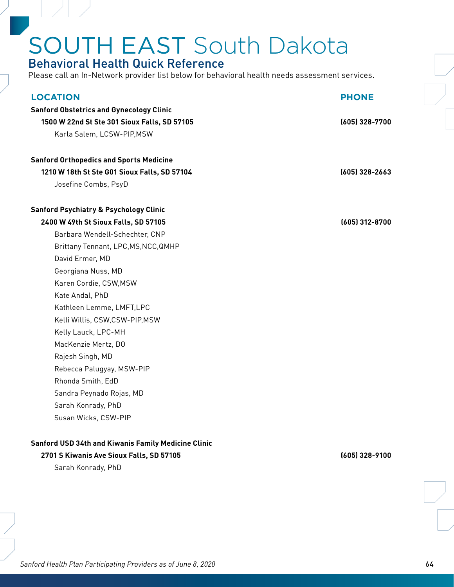#### Behavioral Health Quick Reference

Please call an In-Network provider list below for behavioral health needs assessment services.

| <b>LOCATION</b><br><b>Sanford Obstetrics and Gynecology Clinic</b> | <b>PHONE</b>     |
|--------------------------------------------------------------------|------------------|
| 1500 W 22nd St Ste 301 Sioux Falls, SD 57105                       | (605) 328-7700   |
|                                                                    |                  |
| Karla Salem, LCSW-PIP, MSW                                         |                  |
| <b>Sanford Orthopedics and Sports Medicine</b>                     |                  |
| 1210 W 18th St Ste G01 Sioux Falls, SD 57104                       | $(605)$ 328-2663 |
| Josefine Combs, PsyD                                               |                  |
| <b>Sanford Psychiatry &amp; Psychology Clinic</b>                  |                  |
| 2400 W 49th St Sioux Falls, SD 57105                               | (605) 312-8700   |
| Barbara Wendell-Schechter, CNP                                     |                  |
| Brittany Tennant, LPC, MS, NCC, QMHP                               |                  |
| David Ermer, MD                                                    |                  |
| Georgiana Nuss, MD                                                 |                  |
| Karen Cordie, CSW, MSW                                             |                  |
| Kate Andal, PhD                                                    |                  |
| Kathleen Lemme, LMFT, LPC                                          |                  |
| Kelli Willis, CSW,CSW-PIP,MSW                                      |                  |
| Kelly Lauck, LPC-MH                                                |                  |
| MacKenzie Mertz, DO                                                |                  |
| Rajesh Singh, MD                                                   |                  |
| Rebecca Palugyay, MSW-PIP                                          |                  |
| Rhonda Smith, EdD                                                  |                  |
| Sandra Peynado Rojas, MD                                           |                  |
| Sarah Konrady, PhD                                                 |                  |
| Susan Wicks, CSW-PIP                                               |                  |
|                                                                    |                  |

#### **Sanford USD 34th and Kiwanis Family Medicine Clinic**

#### **2701 S Kiwanis Ave Sioux Falls, SD 57105 (605) 328-9100**

Sarah Konrady, PhD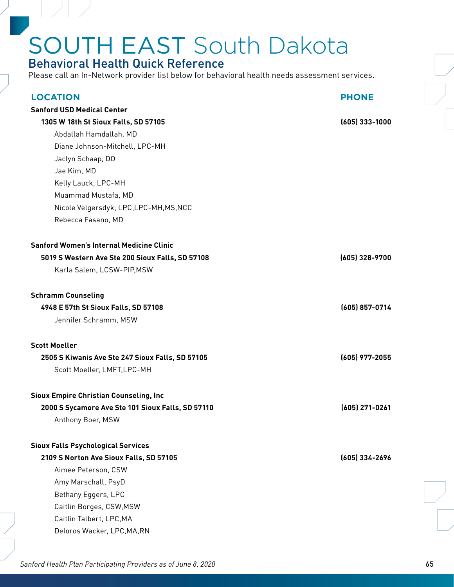#### Behavioral Health Quick Reference

Please call an In-Network provider list below for behavioral health needs assessment services.

| <b>LOCATION</b>                                   | <b>PHONE</b>     |
|---------------------------------------------------|------------------|
| <b>Sanford USD Medical Center</b>                 |                  |
| 1305 W 18th St Sioux Falls, SD 57105              | $(605)$ 333-1000 |
| Abdallah Hamdallah, MD                            |                  |
| Diane Johnson-Mitchell, LPC-MH                    |                  |
| Jaclyn Schaap, DO                                 |                  |
| Jae Kim, MD                                       |                  |
| Kelly Lauck, LPC-MH                               |                  |
| Muammad Mustafa, MD                               |                  |
| Nicole Velgersdyk, LPC, LPC-MH, MS, NCC           |                  |
| Rebecca Fasano, MD                                |                  |
|                                                   |                  |
| <b>Sanford Women's Internal Medicine Clinic</b>   |                  |
| 5019 S Western Ave Ste 200 Sioux Falls, SD 57108  | (605) 328-9700   |
| Karla Salem, LCSW-PIP, MSW                        |                  |
| <b>Schramm Counseling</b>                         |                  |
| 4948 E 57th St Sioux Falls, SD 57108              | (605) 857-0714   |
| Jennifer Schramm, MSW                             |                  |
| <b>Scott Moeller</b>                              |                  |
| 2505 S Kiwanis Ave Ste 247 Sioux Falls, SD 57105  | (605) 977-2055   |
| Scott Moeller, LMFT, LPC-MH                       |                  |
| <b>Sioux Empire Christian Counseling, Inc.</b>    |                  |
| 2000 S Sycamore Ave Ste 101 Sioux Falls, SD 57110 | (605) 271-0261   |
| Anthony Boer, MSW                                 |                  |
| <b>Sioux Falls Psychological Services</b>         |                  |
| 2109 S Norton Ave Sioux Falls, SD 57105           | (605) 334-2696   |
| Aimee Peterson, CSW                               |                  |
| Amy Marschall, PsyD                               |                  |
| Bethany Eggers, LPC                               |                  |
| Caitlin Borges, CSW, MSW                          |                  |
| Caitlin Talbert, LPC, MA                          |                  |
| Deloros Wacker, LPC, MA, RN                       |                  |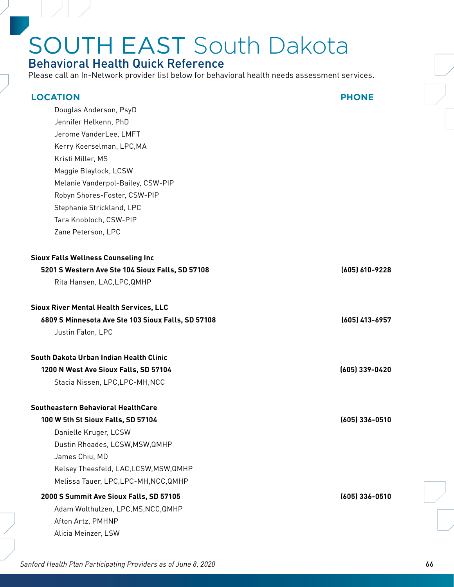### Behavioral Health Quick Reference

Please call an In-Network provider list below for behavioral health needs assessment services.

| <b>LOCATION</b>                                    | <b>PHONE</b>   |
|----------------------------------------------------|----------------|
| Douglas Anderson, PsyD                             |                |
| Jennifer Helkenn, PhD                              |                |
| Jerome VanderLee, LMFT                             |                |
| Kerry Koerselman, LPC, MA                          |                |
| Kristi Miller, MS                                  |                |
| Maggie Blaylock, LCSW                              |                |
| Melanie Vanderpol-Bailey, CSW-PIP                  |                |
| Robyn Shores-Foster, CSW-PIP                       |                |
| Stephanie Strickland, LPC                          |                |
| Tara Knobloch, CSW-PIP                             |                |
| Zane Peterson, LPC                                 |                |
| <b>Sioux Falls Wellness Counseling Inc</b>         |                |
| 5201 S Western Ave Ste 104 Sioux Falls, SD 57108   | (605) 610-9228 |
| Rita Hansen, LAC, LPC, QMHP                        |                |
| <b>Sioux River Mental Health Services, LLC</b>     |                |
| 6809 S Minnesota Ave Ste 103 Sioux Falls, SD 57108 | (605) 413-6957 |
| Justin Falon, LPC                                  |                |
| South Dakota Urban Indian Health Clinic            |                |
| 1200 N West Ave Sioux Falls, SD 57104              | (605) 339-0420 |
| Stacia Nissen, LPC, LPC-MH, NCC                    |                |
| Southeastern Behavioral HealthCare                 |                |
| 100 W 5th St Sioux Falls, SD 57104                 | (605) 336-0510 |
| Danielle Kruger, LCSW                              |                |
| Dustin Rhoades, LCSW, MSW, QMHP                    |                |
| James Chiu, MD                                     |                |
| Kelsey Theesfeld, LAC, LCSW, MSW, QMHP             |                |
| Melissa Tauer, LPC, LPC-MH, NCC, QMHP              |                |
| 2000 S Summit Ave Sioux Falls, SD 57105            | (605) 336-0510 |
| Adam Wolthulzen, LPC, MS, NCC, QMHP                |                |
| Afton Artz, PMHNP                                  |                |
| Alicia Meinzer, LSW                                |                |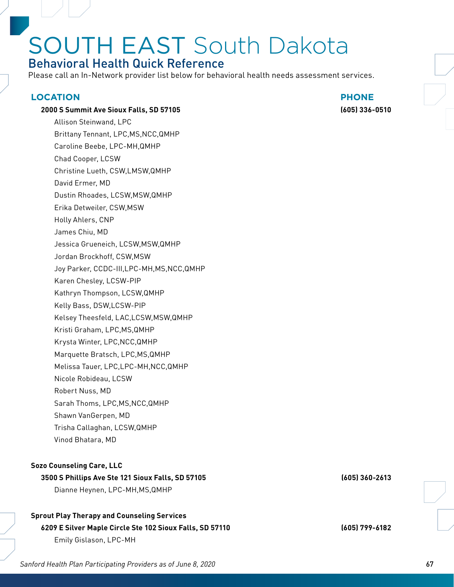### Behavioral Health Quick Reference

Please call an In-Network provider list below for behavioral health needs assessment services.

#### **LOCATION PHONE**

#### **2000 S Summit Ave Sioux Falls, SD 57105 (605) 336-0510**

Allison Steinwand, LPC Brittany Tennant, LPC,MS,NCC,QMHP Caroline Beebe, LPC-MH,QMHP Chad Cooper, LCSW Christine Lueth, CSW,LMSW,QMHP David Ermer, MD Dustin Rhoades, LCSW,MSW,QMHP Erika Detweiler, CSW,MSW Holly Ahlers, CNP James Chiu, MD Jessica Grueneich, LCSW,MSW,QMHP Jordan Brockhoff, CSW,MSW Joy Parker, CCDC-III,LPC-MH,MS,NCC,QMHP Karen Chesley, LCSW-PIP Kathryn Thompson, LCSW,QMHP Kelly Bass, DSW,LCSW-PIP Kelsey Theesfeld, LAC,LCSW,MSW,QMHP Kristi Graham, LPC,MS,QMHP Krysta Winter, LPC,NCC,QMHP Marquette Bratsch, LPC,MS,QMHP Melissa Tauer, LPC,LPC-MH,NCC,QMHP Nicole Robideau, LCSW Robert Nuss, MD Sarah Thoms, LPC,MS,NCC,QMHP Shawn VanGerpen, MD Trisha Callaghan, LCSW,QMHP

#### **Sozo Counseling Care, LLC**

Vinod Bhatara, MD

#### **3500 S Phillips Ave Ste 121 Sioux Falls, SD 57105 (605) 360-2613** Dianne Heynen, LPC-MH,MS,QMHP

#### **Sprout Play Therapy and Counseling Services**

#### **6209 E Silver Maple Circle Ste 102 Sioux Falls, SD 57110 (605) 799-6182** Emily Gislason, LPC-MH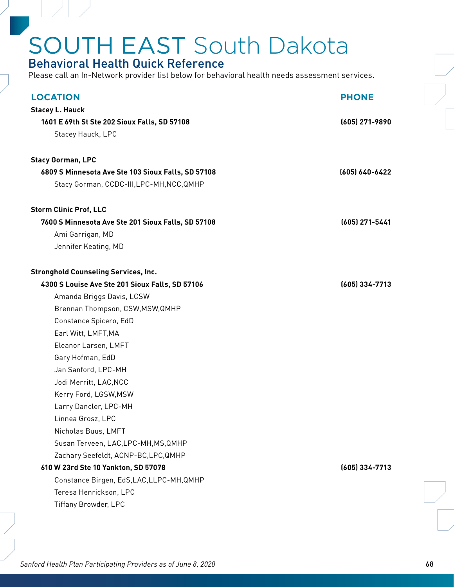#### Behavioral Health Quick Reference

| <b>LOCATION</b>                                                                             | <b>PHONE</b>   |  |
|---------------------------------------------------------------------------------------------|----------------|--|
| <b>Stacey L. Hauck</b><br>1601 E 69th St Ste 202 Sioux Falls, SD 57108<br>Stacey Hauck, LPC | (605) 271-9890 |  |
| <b>Stacy Gorman, LPC</b>                                                                    |                |  |
| 6809 S Minnesota Ave Ste 103 Sioux Falls, SD 57108                                          | (605) 640-6422 |  |
| Stacy Gorman, CCDC-III, LPC-MH, NCC, QMHP                                                   |                |  |
| <b>Storm Clinic Prof, LLC</b>                                                               |                |  |
| 7600 S Minnesota Ave Ste 201 Sioux Falls, SD 57108                                          | (605) 271-5441 |  |
| Ami Garrigan, MD                                                                            |                |  |
| Jennifer Keating, MD                                                                        |                |  |
| <b>Stronghold Counseling Services, Inc.</b>                                                 |                |  |
| 4300 S Louise Ave Ste 201 Sioux Falls, SD 57106                                             | (605) 334-7713 |  |
| Amanda Briggs Davis, LCSW                                                                   |                |  |
| Brennan Thompson, CSW, MSW, QMHP                                                            |                |  |
| Constance Spicero, EdD                                                                      |                |  |
| Earl Witt, LMFT, MA                                                                         |                |  |
| Eleanor Larsen, LMFT                                                                        |                |  |
| Gary Hofman, EdD                                                                            |                |  |
| Jan Sanford, LPC-MH                                                                         |                |  |
| Jodi Merritt, LAC, NCC                                                                      |                |  |
| Kerry Ford, LGSW, MSW                                                                       |                |  |
| Larry Dancler, LPC-MH                                                                       |                |  |
| Linnea Grosz, LPC                                                                           |                |  |
| Nicholas Buus, LMFT                                                                         |                |  |
| Susan Terveen, LAC, LPC-MH, MS, QMHP                                                        |                |  |
| Zachary Seefeldt, ACNP-BC, LPC, QMHP                                                        |                |  |
| 610 W 23rd Ste 10 Yankton, SD 57078                                                         | (605) 334-7713 |  |
| Constance Birgen, EdS, LAC, LLPC-MH, QMHP                                                   |                |  |
| Teresa Henrickson, LPC                                                                      |                |  |
| Tiffany Browder, LPC                                                                        |                |  |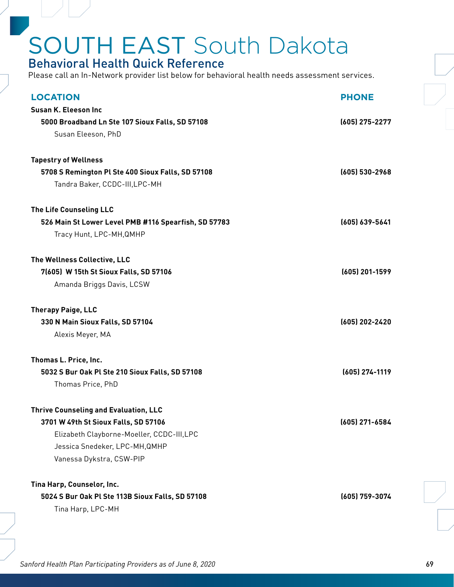#### Behavioral Health Quick Reference

Please call an In-Network provider list below for behavioral health needs assessment services.

| <b>LOCATION</b>                                      | <b>PHONE</b>   |
|------------------------------------------------------|----------------|
| Susan K. Eleeson Inc                                 |                |
| 5000 Broadband Ln Ste 107 Sioux Falls, SD 57108      | (605) 275-2277 |
| Susan Eleeson, PhD                                   |                |
| <b>Tapestry of Wellness</b>                          |                |
| 5708 S Remington Pl Ste 400 Sioux Falls, SD 57108    | (605) 530-2968 |
| Tandra Baker, CCDC-III, LPC-MH                       |                |
| The Life Counseling LLC                              |                |
| 526 Main St Lower Level PMB #116 Spearfish, SD 57783 | (605) 639-5641 |
| Tracy Hunt, LPC-MH, QMHP                             |                |
| The Wellness Collective, LLC                         |                |
| 7(605) W 15th St Sioux Falls, SD 57106               | (605) 201-1599 |
| Amanda Briggs Davis, LCSW                            |                |
| <b>Therapy Paige, LLC</b>                            |                |
| 330 N Main Sioux Falls, SD 57104                     | (605) 202-2420 |
| Alexis Meyer, MA                                     |                |
| Thomas L. Price, Inc.                                |                |
| 5032 S Bur Oak Pl Ste 210 Sioux Falls, SD 57108      | (605) 274-1119 |
| Thomas Price, PhD                                    |                |
| <b>Thrive Counseling and Evaluation, LLC</b>         |                |
| 3701 W 49th St Sioux Falls, SD 57106                 | (605) 271-6584 |
| Elizabeth Clayborne-Moeller, CCDC-III,LPC            |                |
| Jessica Snedeker, LPC-MH, QMHP                       |                |
| Vanessa Dykstra, CSW-PIP                             |                |
| Tina Harp, Counselor, Inc.                           |                |
| 5024 S Bur Oak Pl Ste 113B Sioux Falls, SD 57108     | (605) 759-3074 |
| Tina Harp, LPC-MH                                    |                |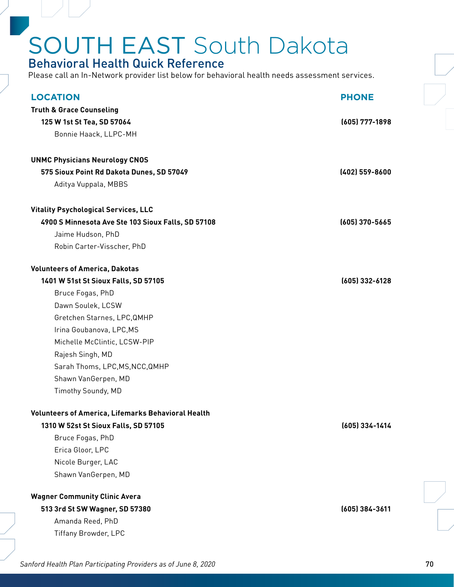#### Behavioral Health Quick Reference

| <b>LOCATION</b>                                    | <b>PHONE</b>     |
|----------------------------------------------------|------------------|
| <b>Truth &amp; Grace Counseling</b>                |                  |
| 125 W 1st St Tea, SD 57064                         | (605) 777-1898   |
| Bonnie Haack, LLPC-MH                              |                  |
| <b>UNMC Physicians Neurology CNOS</b>              |                  |
| 575 Sioux Point Rd Dakota Dunes, SD 57049          | (402) 559-8600   |
| Aditya Vuppala, MBBS                               |                  |
| <b>Vitality Psychological Services, LLC</b>        |                  |
| 4900 S Minnesota Ave Ste 103 Sioux Falls, SD 57108 | $(605)$ 370-5665 |
| Jaime Hudson, PhD                                  |                  |
| Robin Carter-Visscher, PhD                         |                  |
| <b>Volunteers of America, Dakotas</b>              |                  |
| 1401 W 51st St Sioux Falls, SD 57105               | (605) 332-6128   |
| Bruce Fogas, PhD                                   |                  |
| Dawn Soulek, LCSW                                  |                  |
| Gretchen Starnes, LPC, QMHP                        |                  |
| Irina Goubanova, LPC, MS                           |                  |
| Michelle McClintic, LCSW-PIP                       |                  |
| Rajesh Singh, MD                                   |                  |
| Sarah Thoms, LPC, MS, NCC, QMHP                    |                  |
| Shawn VanGerpen, MD                                |                  |
| Timothy Soundy, MD                                 |                  |
| Volunteers of America, Lifemarks Behavioral Health |                  |
| 1310 W 52st St Sioux Falls, SD 57105               | (605) 334-1414   |
| Bruce Fogas, PhD                                   |                  |
| Erica Gloor, LPC                                   |                  |
| Nicole Burger, LAC                                 |                  |
| Shawn VanGerpen, MD                                |                  |
| <b>Wagner Community Clinic Avera</b>               |                  |
| 513 3rd St SW Wagner, SD 57380                     | (605) 384-3611   |
| Amanda Reed, PhD                                   |                  |
| Tiffany Browder, LPC                               |                  |